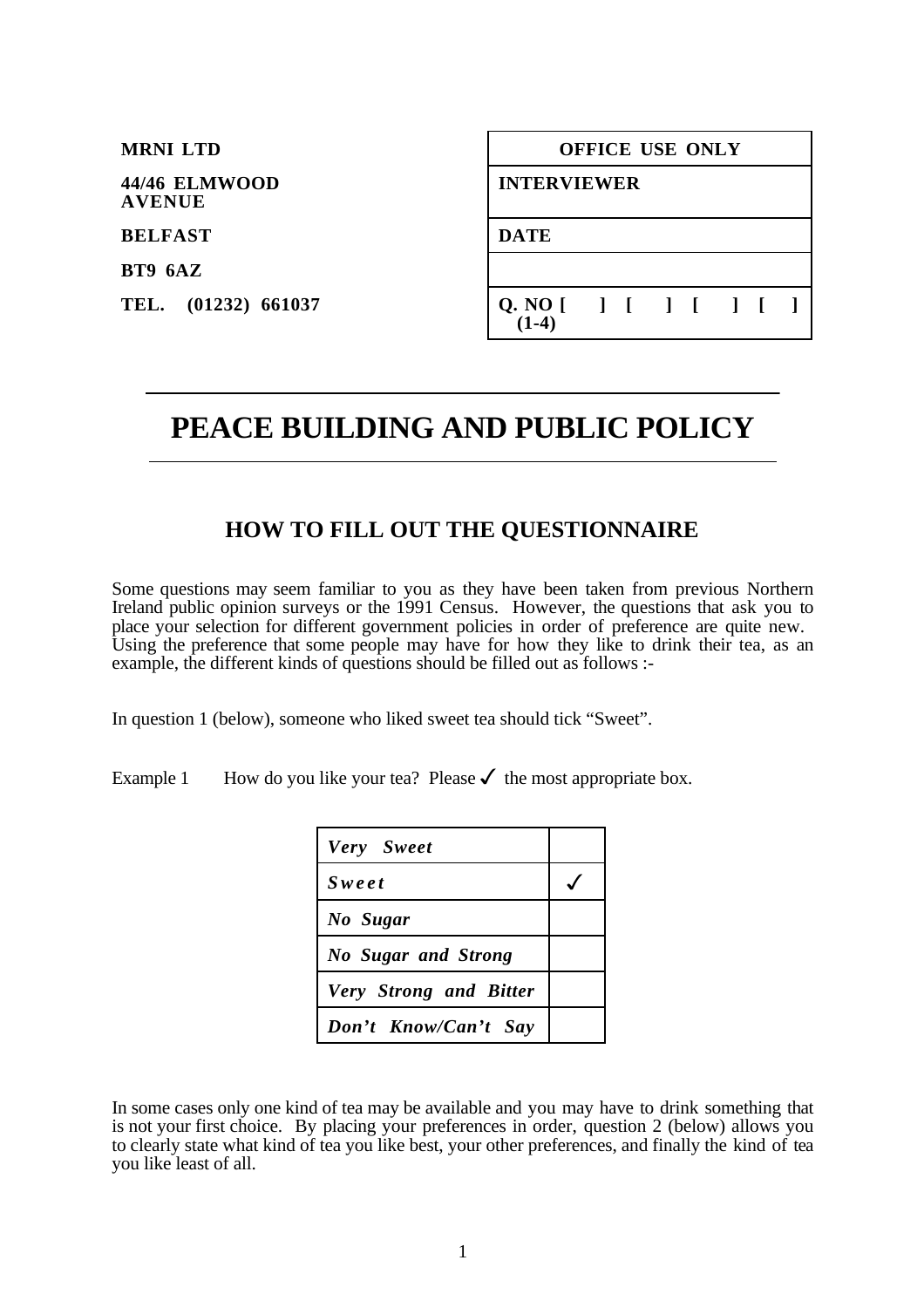| <b>MRNI LTD</b>                | <b>OFFICE USE ONLY</b>               |
|--------------------------------|--------------------------------------|
| 44/46 ELMWOOD<br><b>AVENUE</b> | <b>INTERVIEWER</b>                   |
| <b>BELFAST</b>                 | <b>DATE</b>                          |
| BT9 6AZ                        |                                      |
| TEL. (01232) 661037            | Q. NO [ ] [ ] [ ] [ ] [ ]<br>$(1-4)$ |

# **PEACE BUILDING AND PUBLIC POLICY**

## **HOW TO FILL OUT THE QUESTIONNAIRE**

Some questions may seem familiar to you as they have been taken from previous Northern Ireland public opinion surveys or the 1991 Census. However, the questions that ask you to place your selection for different government policies in order of preference are quite new. Using the preference that some people may have for how they like to drink their tea, as an example, the different kinds of questions should be filled out as follows :-

In question 1 (below), someone who liked sweet tea should tick "Sweet".

 $\overline{a}$ 

Example 1 How do you like your tea? Please  $\checkmark$  the most appropriate box.

| Very Sweet                    |  |
|-------------------------------|--|
| <b>Sweet</b>                  |  |
| No Sugar                      |  |
| <b>No Sugar and Strong</b>    |  |
| <b>Very Strong and Bitter</b> |  |
| Don't Know/Can't Say          |  |

In some cases only one kind of tea may be available and you may have to drink something that is not your first choice. By placing your preferences in order, question 2 (below) allows you to clearly state what kind of tea you like best, your other preferences, and finally the kind of tea you like least of all.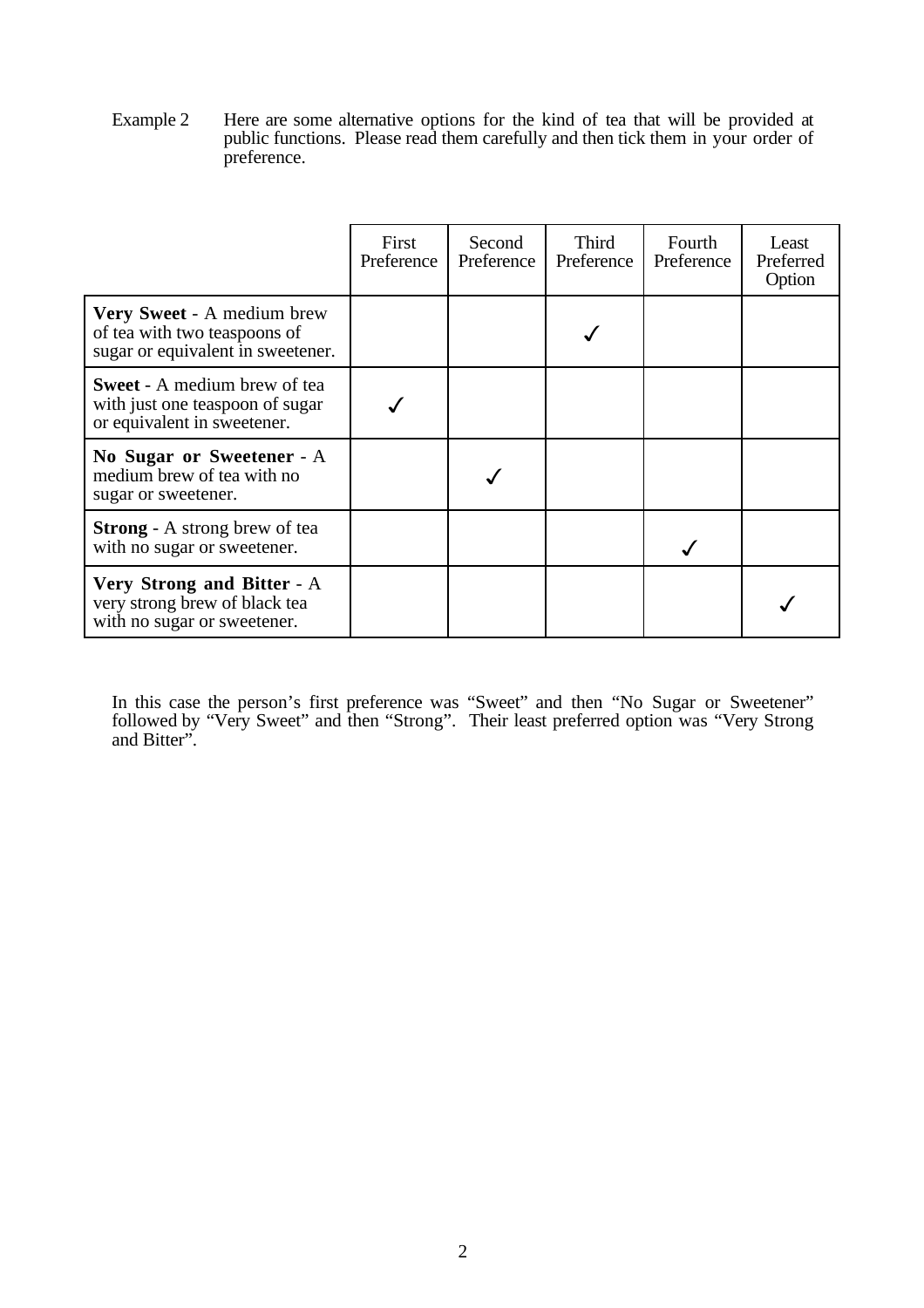Example 2 Here are some alternative options for the kind of tea that will be provided at public functions. Please read them carefully and then tick them in your order of preference.

|                                                                                                       | First<br>Preference | Second<br>Preference | Third<br>Preference | Fourth<br>Preference | Least<br>Preferred<br>Option |
|-------------------------------------------------------------------------------------------------------|---------------------|----------------------|---------------------|----------------------|------------------------------|
| Very Sweet - A medium brew<br>of tea with two teaspoons of<br>sugar or equivalent in sweetener.       |                     |                      |                     |                      |                              |
| <b>Sweet</b> - A medium brew of tea<br>with just one teaspoon of sugar<br>or equivalent in sweetener. |                     |                      |                     |                      |                              |
| No Sugar or Sweetener - A<br>medium brew of tea with no<br>sugar or sweetener.                        |                     |                      |                     |                      |                              |
| <b>Strong</b> - A strong brew of tea<br>with no sugar or sweetener.                                   |                     |                      |                     |                      |                              |
| Very Strong and Bitter - A<br>very strong brew of black tea<br>with no sugar or sweetener.            |                     |                      |                     |                      |                              |

In this case the person's first preference was "Sweet" and then "No Sugar or Sweetener" followed by "Very Sweet" and then "Strong". Their least preferred option was "Very Strong and Bitter".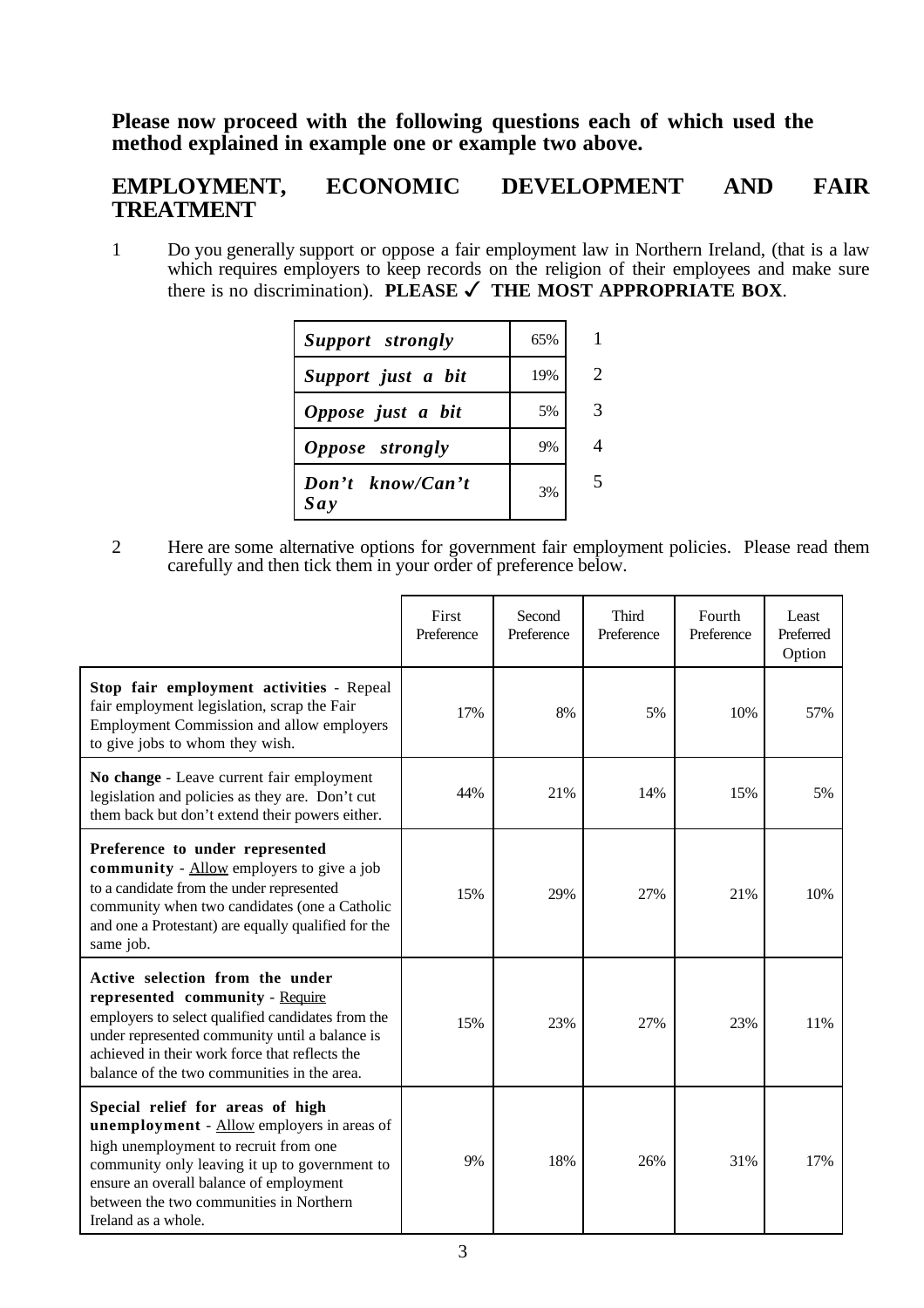### **Please now proceed with the following questions each of which used the method explained in example one or example two above.**

## **EMPLOYMENT, ECONOMIC DEVELOPMENT AND FAIR TREATMENT**

1 Do you generally support or oppose a fair employment law in Northern Ireland, (that is a law which requires employers to keep records on the religion of their employees and make sure there is no discrimination). **PLEASE** ✓ **THE MOST APPROPRIATE BOX**.

| Support strongly          | 65% |    |
|---------------------------|-----|----|
| Support just a bit        | 19% | 2. |
| Oppose just a bit         | 5%  |    |
| Oppose strongly           | 9%  |    |
| $Don't$ know/Can't<br>Say | 3%  |    |

2 Here are some alternative options for government fair employment policies. Please read them carefully and then tick them in your order of preference below.

|                                                                                                                                                                                                                                                                                              | First<br>Preference | Second<br>Preference | <b>Third</b><br>Preference | Fourth<br>Preference | Least<br>Preferred<br>Option |
|----------------------------------------------------------------------------------------------------------------------------------------------------------------------------------------------------------------------------------------------------------------------------------------------|---------------------|----------------------|----------------------------|----------------------|------------------------------|
| Stop fair employment activities - Repeal<br>fair employment legislation, scrap the Fair<br><b>Employment Commission and allow employers</b><br>to give jobs to whom they wish.                                                                                                               | 17%                 | 8%                   | 5%                         | 10%                  | 57%                          |
| No change - Leave current fair employment<br>legislation and policies as they are. Don't cut<br>them back but don't extend their powers either.                                                                                                                                              | 44%                 | 21%                  | 14%                        | 15%                  | 5%                           |
| Preference to under represented<br>community - Allow employers to give a job<br>to a candidate from the under represented<br>community when two candidates (one a Catholic<br>and one a Protestant) are equally qualified for the<br>same job.                                               | 15%                 | 29%                  | 27%                        | 21%                  | 10%                          |
| Active selection from the under<br>represented community - Require<br>employers to select qualified candidates from the<br>under represented community until a balance is<br>achieved in their work force that reflects the<br>balance of the two communities in the area.                   | 15%                 | 23%                  | 27%                        | 23%                  | 11%                          |
| Special relief for areas of high<br><b>unemployment</b> - Allow employers in areas of<br>high unemployment to recruit from one<br>community only leaving it up to government to<br>ensure an overall balance of employment<br>between the two communities in Northern<br>Ireland as a whole. | 9%                  | 18%                  | 26%                        | 31%                  | 17%                          |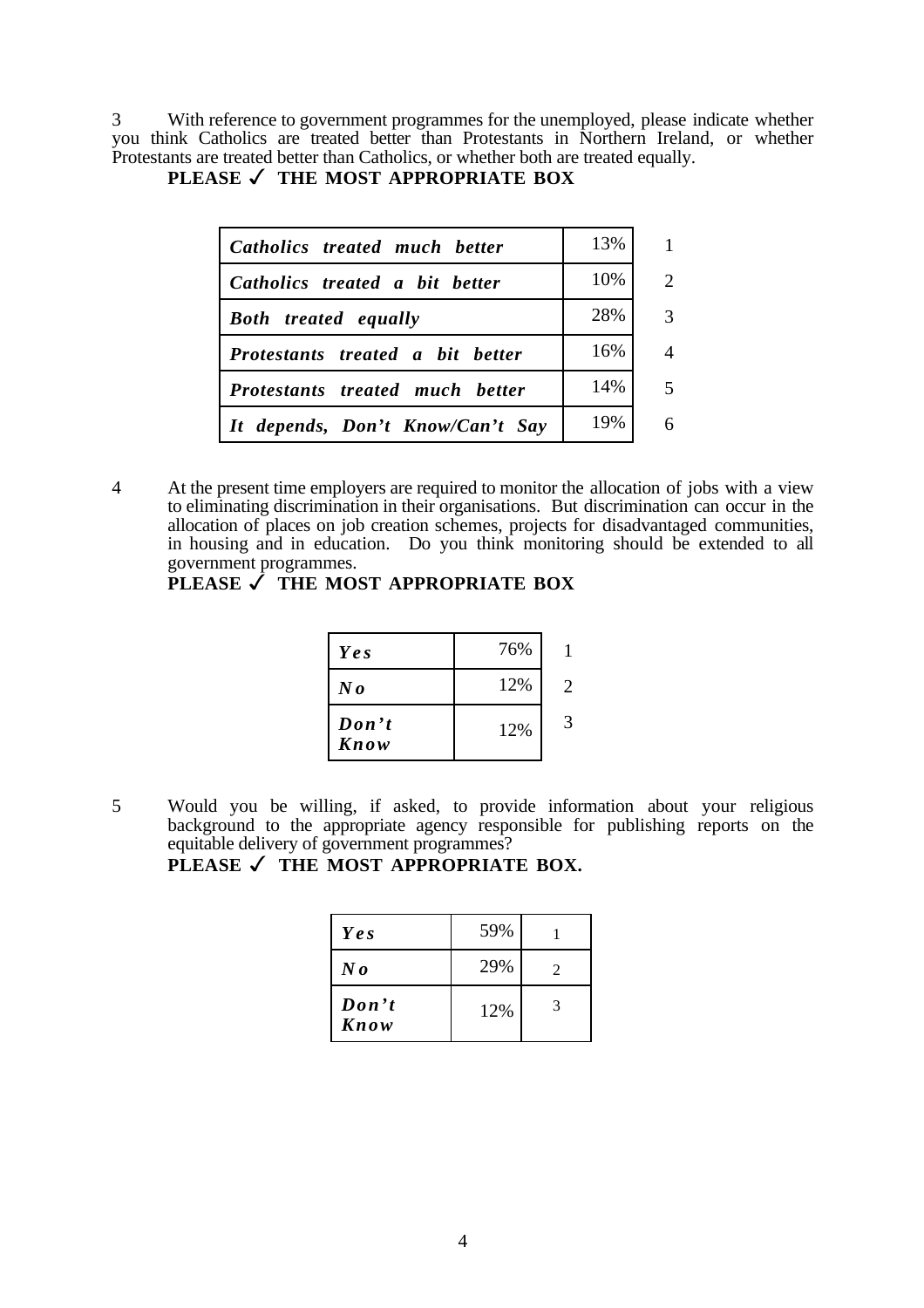3 With reference to government programmes for the unemployed, please indicate whether you think Catholics are treated better than Protestants in Northern Ireland, or whether Protestants are treated better than Catholics, or whether both are treated equally.

| Catholics treated much better    | 13%    | $\mathbf{1}$            |
|----------------------------------|--------|-------------------------|
| Catholics treated a bit better   | $10\%$ | 2                       |
| <b>Both</b> treated equally      | 28%    | $\mathcal{R}$           |
| Protestants treated a bit better | $16\%$ | 4                       |
| Protestants treated much better  | $14\%$ | $\overline{\mathbf{5}}$ |
| It depends, Don't Know/Can't Say | 19%    |                         |

#### **PLEASE** ✓ **THE MOST APPROPRIATE BOX**

4 At the present time employers are required to monitor the allocation of jobs with a view to eliminating discrimination in their organisations. But discrimination can occur in the allocation of places on job creation schemes, projects for disadvantaged communities, in housing and in education. Do you think monitoring should be extended to all government programmes.

**PLEASE** ✓ **THE MOST APPROPRIATE BOX**

| Ye s                     | 76% |   |
|--------------------------|-----|---|
| $N\bm{o}$                | 12% | 2 |
| $\mathbf{Don't}$<br>Know | 12% |   |

5 Would you be willing, if asked, to provide information about your religious background to the appropriate agency responsible for publishing reports on the equitable delivery of government programmes?

PLEASE **✓ THE MOST APPROPRIATE BOX.** 

| Yes                      | 59% |               |
|--------------------------|-----|---------------|
| $\bm{N}$ o               | 29% | $\mathcal{L}$ |
| $\mathbf{Don't}$<br>Know | 12% | 3             |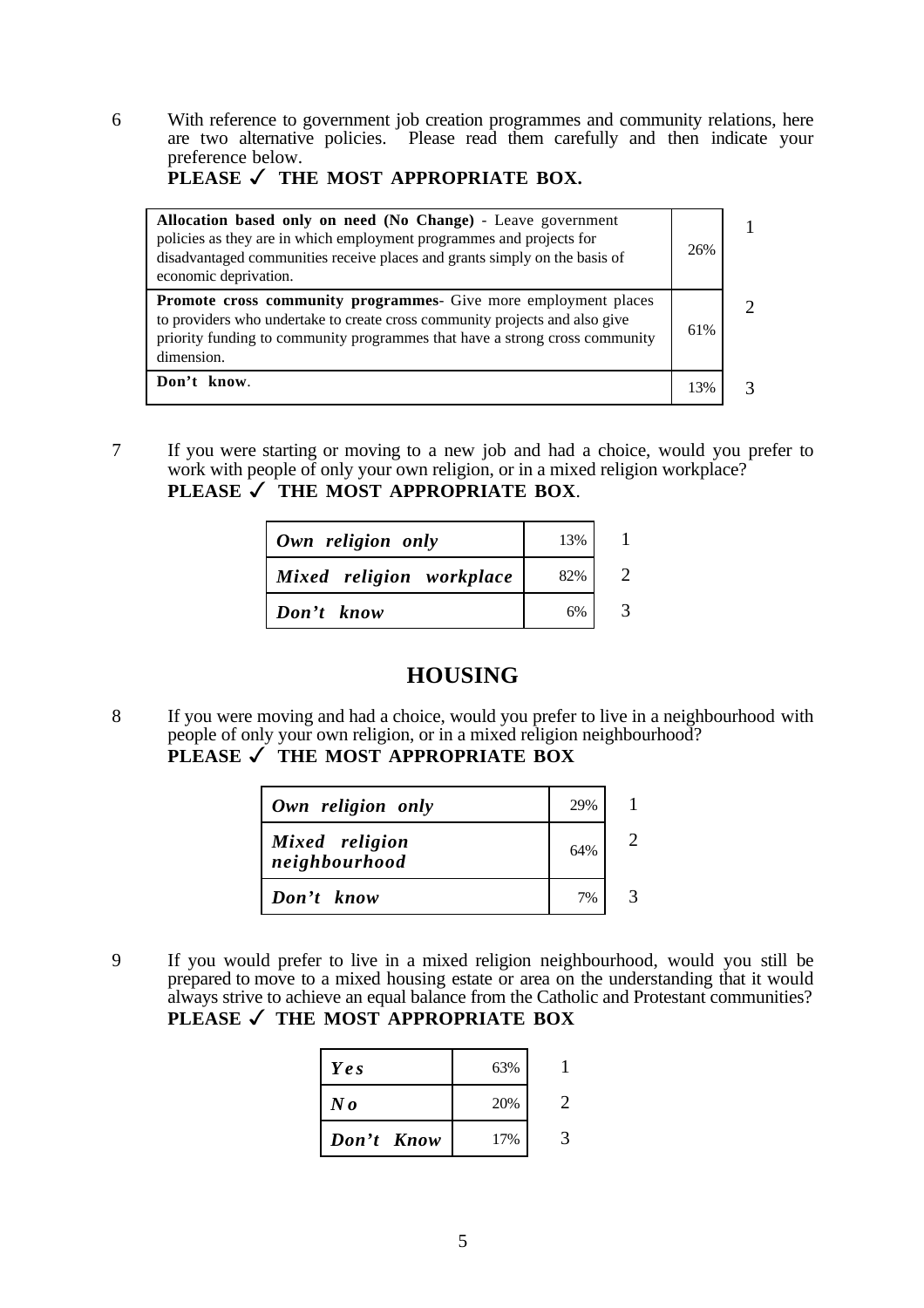6 With reference to government job creation programmes and community relations, here are two alternative policies. Please read them carefully and then indicate your preference below.

### PLEASE **✓ THE MOST APPROPRIATE BOX.**

| Allocation based only on need (No Change) - Leave government<br>policies as they are in which employment programmes and projects for<br>disadvantaged communities receive places and grants simply on the basis of<br>economic deprivation.       | 26% |  |
|---------------------------------------------------------------------------------------------------------------------------------------------------------------------------------------------------------------------------------------------------|-----|--|
| <b>Promote cross community programmes</b> Give more employment places<br>to providers who undertake to create cross community projects and also give<br>priority funding to community programmes that have a strong cross community<br>dimension. | 61% |  |
| Don't know.                                                                                                                                                                                                                                       | 13% |  |

7 If you were starting or moving to a new job and had a choice, would you prefer to work with people of only your own religion, or in a mixed religion workplace? **PLEASE** ✓ **THE MOST APPROPRIATE BOX**.

| Own religion only        | 13% |  |
|--------------------------|-----|--|
| Mixed religion workplace | 82% |  |
| Don't know               | 6%  |  |

# **HOUSING**

8 If you were moving and had a choice, would you prefer to live in a neighbourhood with people of only your own religion, or in a mixed religion neighbourhood? **PLEASE** ✓ **THE MOST APPROPRIATE BOX**

| Own religion only               | 29% |  |
|---------------------------------|-----|--|
| Mixed religion<br>neighbourhood | 64% |  |
| Don't know                      | 7%  |  |

9 If you would prefer to live in a mixed religion neighbourhood, would you still be prepared to move to a mixed housing estate or area on the understanding that it would always strive to achieve an equal balance from the Catholic and Protestant communities? **PLEASE** ✓ **THE MOST APPROPRIATE BOX**

| Ye s          | 63% |  |
|---------------|-----|--|
| $N\mathbf{0}$ | 20% |  |
| Don't Know    | 17% |  |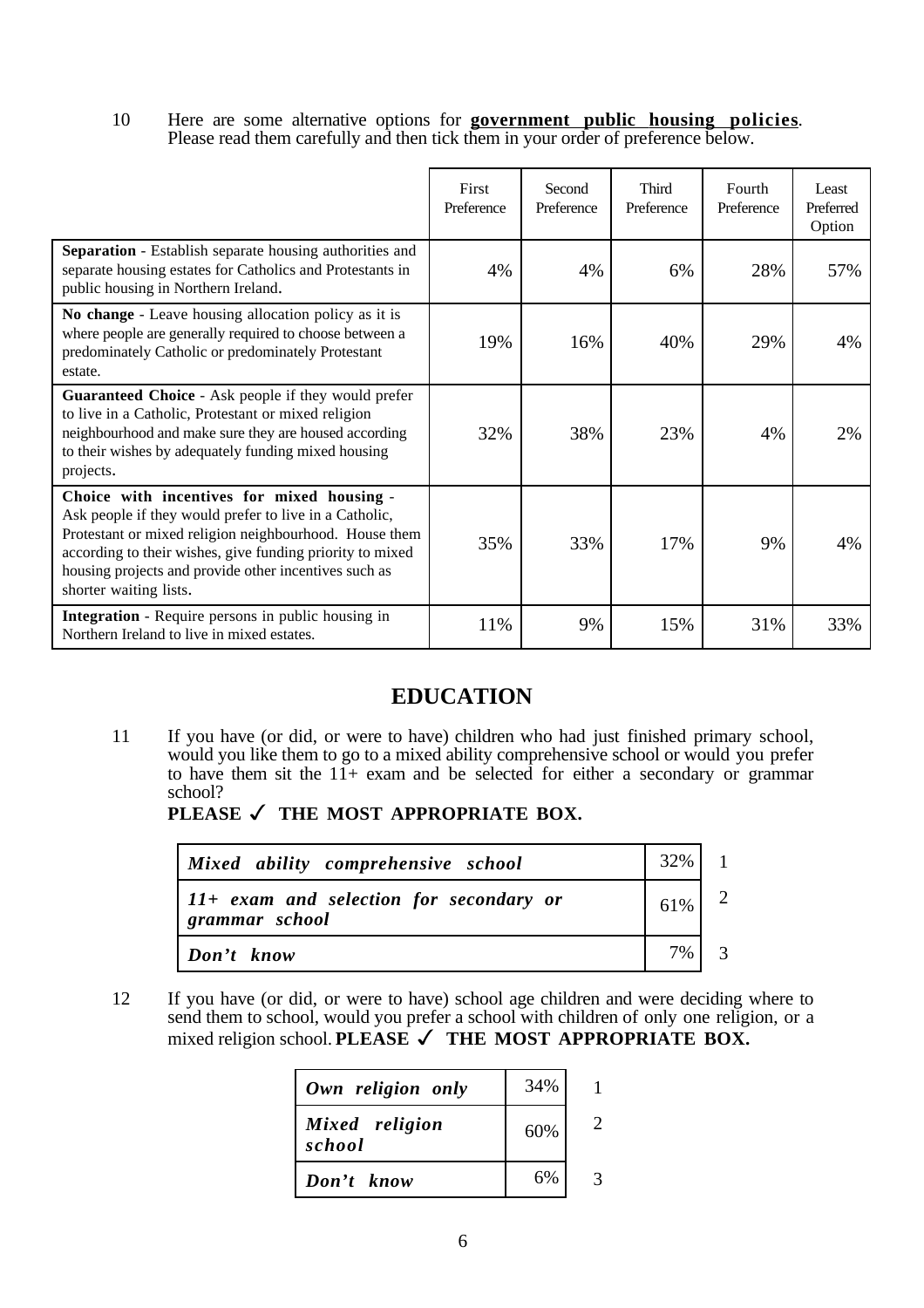10 Here are some alternative options for **government public housing policies**. Please read them carefully and then tick them in your order of preference below.

|                                                                                                                                                                                                                                                                                                                | First<br>Preference | Second<br>Preference | Third<br>Preference | Fourth<br>Preference | Least<br>Preferred<br>Option |
|----------------------------------------------------------------------------------------------------------------------------------------------------------------------------------------------------------------------------------------------------------------------------------------------------------------|---------------------|----------------------|---------------------|----------------------|------------------------------|
| <b>Separation</b> - Establish separate housing authorities and<br>separate housing estates for Catholics and Protestants in<br>public housing in Northern Ireland.                                                                                                                                             | 4%                  | 4%                   | 6%                  | 28%                  | 57%                          |
| No change - Leave housing allocation policy as it is<br>where people are generally required to choose between a<br>predominately Catholic or predominately Protestant<br>estate.                                                                                                                               | 19%                 | 16%                  | 40%                 | 29%                  | 4%                           |
| Guaranteed Choice - Ask people if they would prefer<br>to live in a Catholic, Protestant or mixed religion<br>neighbourhood and make sure they are housed according<br>to their wishes by adequately funding mixed housing<br>projects.                                                                        | 32%                 | 38%                  | 23%                 | 4%                   | 2%                           |
| Choice with incentives for mixed housing -<br>Ask people if they would prefer to live in a Catholic,<br>Protestant or mixed religion neighbourhood. House them<br>according to their wishes, give funding priority to mixed<br>housing projects and provide other incentives such as<br>shorter waiting lists. | 35%                 | 33%                  | 17%                 | 9%                   | 4%                           |
| <b>Integration</b> - Require persons in public housing in<br>Northern Ireland to live in mixed estates.                                                                                                                                                                                                        | 11%                 | 9%                   | 15%                 | 31%                  | 33%                          |

# **EDUCATION**

11 If you have (or did, or were to have) children who had just finished primary school, would you like them to go to a mixed ability comprehensive school or would you prefer to have them sit the  $11+$  exam and be selected for either a secondary or grammar school?

PLEASE √ THE MOST APPROPRIATE BOX.

| Mixed ability comprehensive school                          | $32\%$ 1 |                |
|-------------------------------------------------------------|----------|----------------|
| $11+$ exam and selection for secondary or<br>grammar school | $61\%$ 2 |                |
| Don't know                                                  | $7\%$    | $\overline{3}$ |

12 If you have (or did, or were to have) school age children and were deciding where to send them to school, would you prefer a school with children of only one religion, or a mixed religion school. **PLEASE** ✓ **THE MOST APPROPRIATE BOX.**

| Own religion only        | 34% |  |
|--------------------------|-----|--|
| Mixed religion<br>school | 60% |  |
| Don't know               | 6%  |  |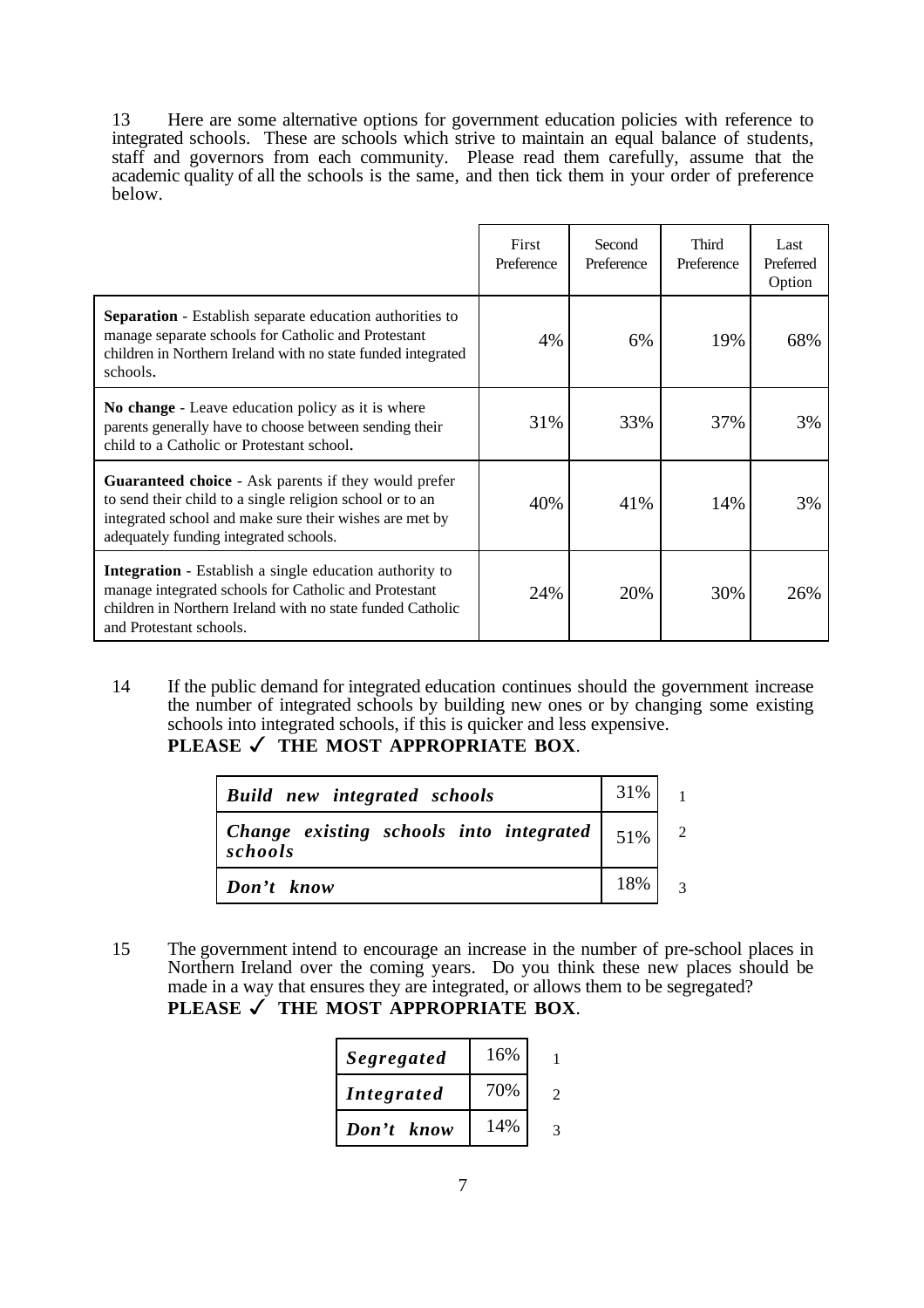13 Here are some alternative options for government education policies with reference to integrated schools. These are schools which strive to maintain an equal balance of students, staff and governors from each community. Please read them carefully, assume that the academic quality of all the schools is the same, and then tick them in your order of preference below.

|                                                                                                                                                                                                                              | First<br>Preference | Second<br>Preference | <b>Third</b><br>Preference | Last<br>Preferred<br>Option |
|------------------------------------------------------------------------------------------------------------------------------------------------------------------------------------------------------------------------------|---------------------|----------------------|----------------------------|-----------------------------|
| <b>Separation</b> - Establish separate education authorities to<br>manage separate schools for Catholic and Protestant<br>children in Northern Ireland with no state funded integrated<br>schools.                           | 4%                  | 6%                   | 19%                        | 68%                         |
| No change - Leave education policy as it is where<br>parents generally have to choose between sending their<br>child to a Catholic or Protestant school.                                                                     | 31%                 | 33%                  | 37%                        | 3%                          |
| <b>Guaranteed choice</b> - Ask parents if they would prefer<br>to send their child to a single religion school or to an<br>integrated school and make sure their wishes are met by<br>adequately funding integrated schools. | 40%                 | 41%                  | 14%                        | 3%                          |
| Integration - Establish a single education authority to<br>manage integrated schools for Catholic and Protestant<br>children in Northern Ireland with no state funded Catholic<br>and Protestant schools.                    | 24%                 | 20%                  | 30%                        | 26%                         |

14 If the public demand for integrated education continues should the government increase the number of integrated schools by building new ones or by changing some existing schools into integrated schools, if this is quicker and less expensive.

**PLEASE** ✓ **THE MOST APPROPRIATE BOX**.

| <b>Build</b> new integrated schools                                                                            | 31% |                          |
|----------------------------------------------------------------------------------------------------------------|-----|--------------------------|
| Change existing schools into integrated $\begin{array}{ c c c } \hline 51\% & 2 \hline \end{array}$<br>schools |     |                          |
| Don't know                                                                                                     | 18% | $\overline{\mathcal{E}}$ |

15 The government intend to encourage an increase in the number of pre-school places in Northern Ireland over the coming years. Do you think these new places should be made in a way that ensures they are integrated, or allows them to be segregated? **PLEASE** ✓ **THE MOST APPROPRIATE BOX**.

| Segregated        | 16% |   |
|-------------------|-----|---|
| <i>Integrated</i> | 70% |   |
| Don't know        | 14% | 2 |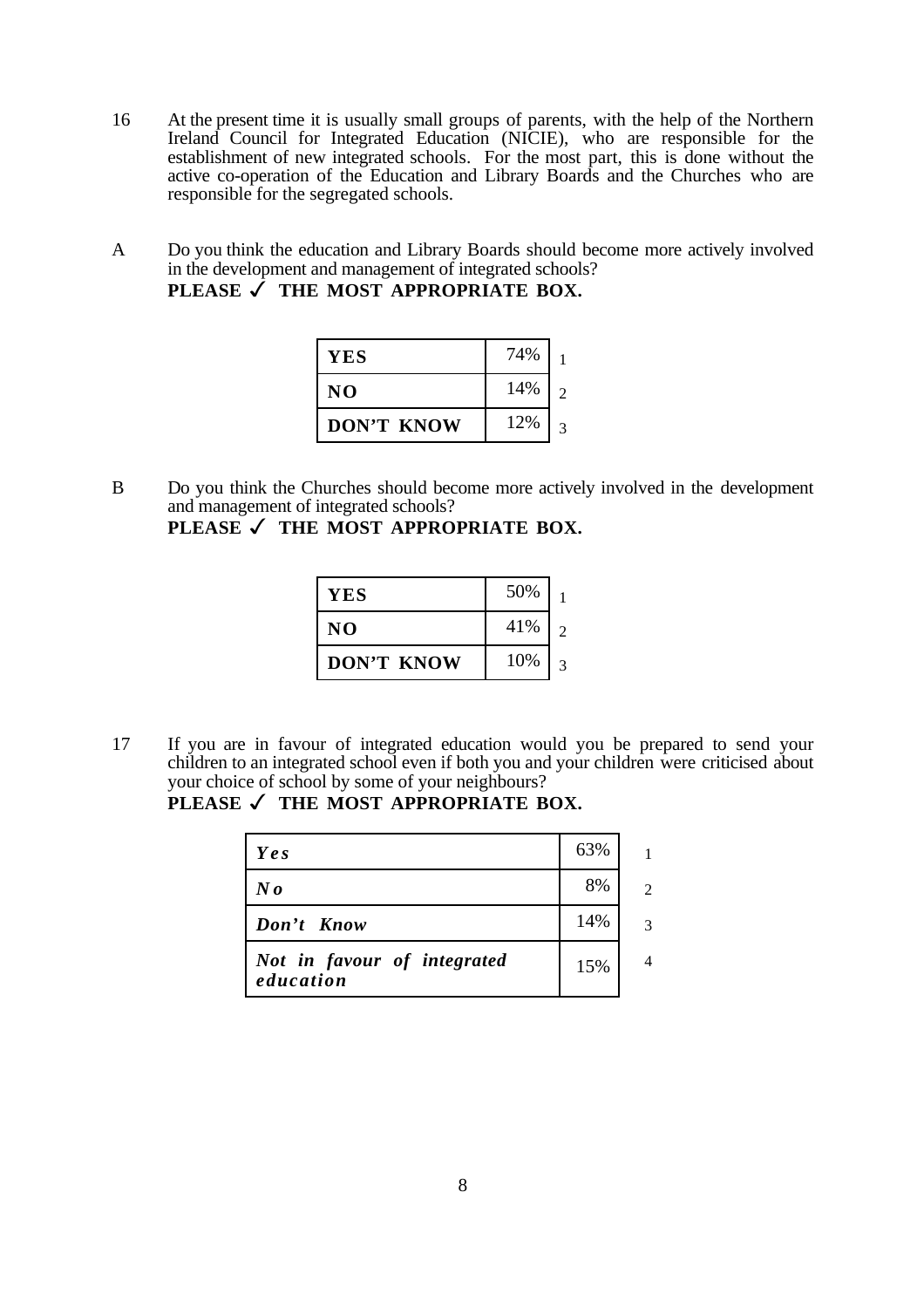- 16 At the present time it is usually small groups of parents, with the help of the Northern Ireland Council for Integrated Education (NICIE), who are responsible for the establishment of new integrated schools. For the most part, this is done without the active co-operation of the Education and Library Boards and the Churches who are responsible for the segregated schools.
- A Do you think the education and Library Boards should become more actively involved in the development and management of integrated schools?

| YES               | 74% |  |
|-------------------|-----|--|
| NO.               | 14% |  |
| <b>DON'T KNOW</b> | 12% |  |

B Do you think the Churches should become more actively involved in the development and management of integrated schools?

PLEASE √ THE MOST APPROPRIATE BOX.

| YES        | 50% |   |
|------------|-----|---|
| NO         | 41% | 2 |
| DON'T KNOW | 10% |   |

17 If you are in favour of integrated education would you be prepared to send your children to an integrated school even if both you and your children were criticised about your choice of school by some of your neighbours?

### PLEASE √ THE MOST APPROPRIATE BOX.

| Yes                                      | 63% | 1              |
|------------------------------------------|-----|----------------|
| $N_{\boldsymbol{0}}$                     | 8%  | $\mathfrak{D}$ |
| Don't Know                               | 14% | 3              |
| Not in favour of integrated<br>education | 15% | Λ              |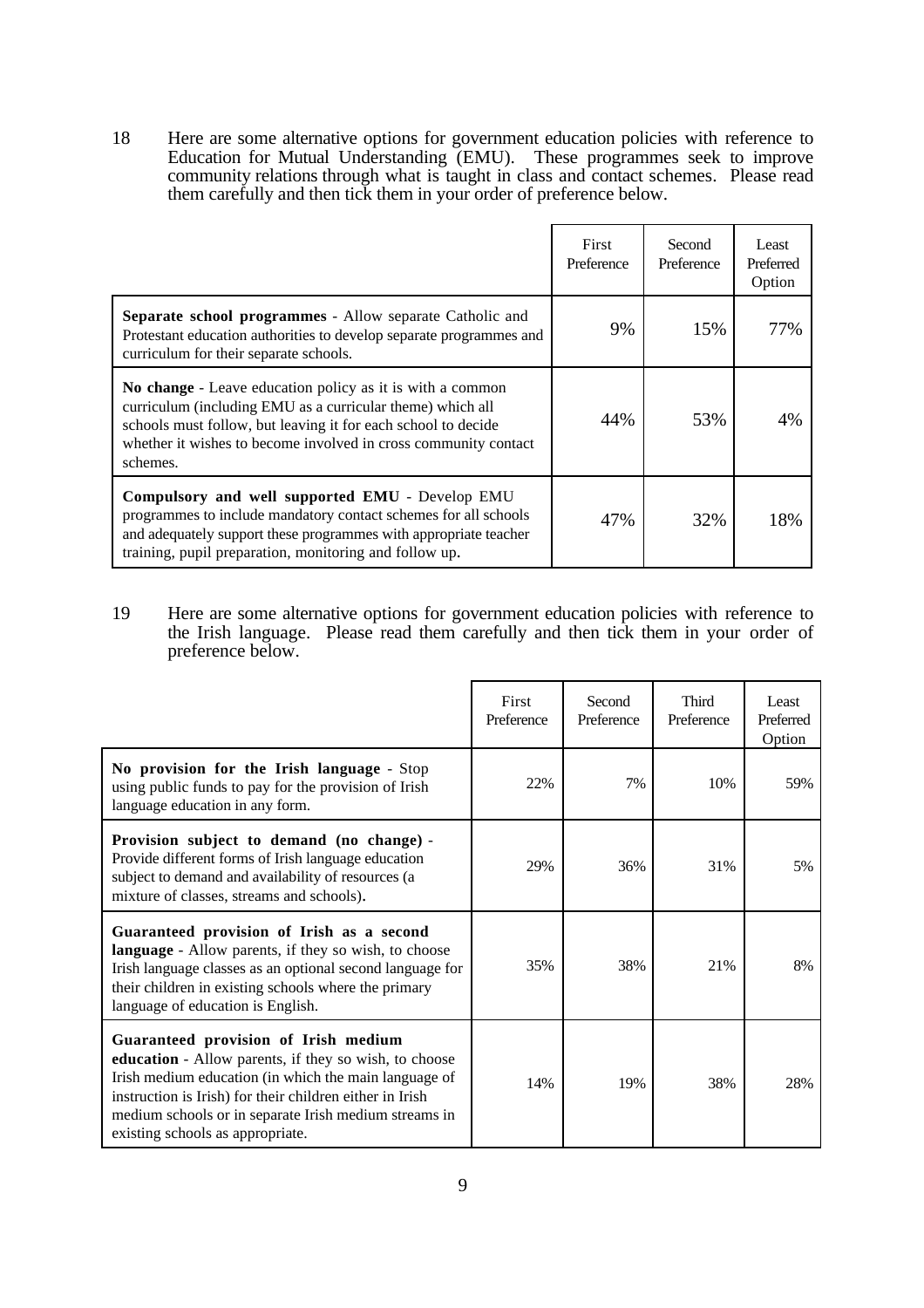18 Here are some alternative options for government education policies with reference to Education for Mutual Understanding (EMU). These programmes seek to improve community relations through what is taught in class and contact schemes. Please read them carefully and then tick them in your order of preference below.

|                                                                                                                                                                                                                                                                         | First<br>Preference | Second<br>Preference | Least<br>Preferred<br>Option |
|-------------------------------------------------------------------------------------------------------------------------------------------------------------------------------------------------------------------------------------------------------------------------|---------------------|----------------------|------------------------------|
| Separate school programmes - Allow separate Catholic and<br>Protestant education authorities to develop separate programmes and<br>curriculum for their separate schools.                                                                                               | 9%                  | 15%                  | 77%                          |
| No change - Leave education policy as it is with a common<br>curriculum (including EMU as a curricular theme) which all<br>schools must follow, but leaving it for each school to decide<br>whether it wishes to become involved in cross community contact<br>schemes. | 44%                 | 53%                  | 4%                           |
| Compulsory and well supported EMU - Develop EMU<br>programmes to include mandatory contact schemes for all schools<br>and adequately support these programmes with appropriate teacher<br>training, pupil preparation, monitoring and follow up.                        | 47%                 | 32%                  | 18%                          |

19 Here are some alternative options for government education policies with reference to the Irish language. Please read them carefully and then tick them in your order of preference below.

|                                                                                                                                                                                                                                                                                                                 | First<br>Preference | Second<br>Preference | Third<br>Preference | Least<br>Preferred<br>Option |
|-----------------------------------------------------------------------------------------------------------------------------------------------------------------------------------------------------------------------------------------------------------------------------------------------------------------|---------------------|----------------------|---------------------|------------------------------|
| No provision for the Irish language - Stop<br>using public funds to pay for the provision of Irish<br>language education in any form.                                                                                                                                                                           | 22%                 | 7%                   | 10%                 | 59%                          |
| Provision subject to demand (no change) -<br>Provide different forms of Irish language education<br>subject to demand and availability of resources (a<br>mixture of classes, streams and schools).                                                                                                             | 29%                 | 36%                  | 31%                 | 5%                           |
| Guaranteed provision of Irish as a second<br><b>language</b> - Allow parents, if they so wish, to choose<br>Irish language classes as an optional second language for<br>their children in existing schools where the primary<br>language of education is English.                                              | 35%                 | 38%                  | 21%                 | 8%                           |
| Guaranteed provision of Irish medium<br>education - Allow parents, if they so wish, to choose<br>Irish medium education (in which the main language of<br>instruction is Irish) for their children either in Irish<br>medium schools or in separate Irish medium streams in<br>existing schools as appropriate. | 14%                 | 19%                  | 38%                 | 28%                          |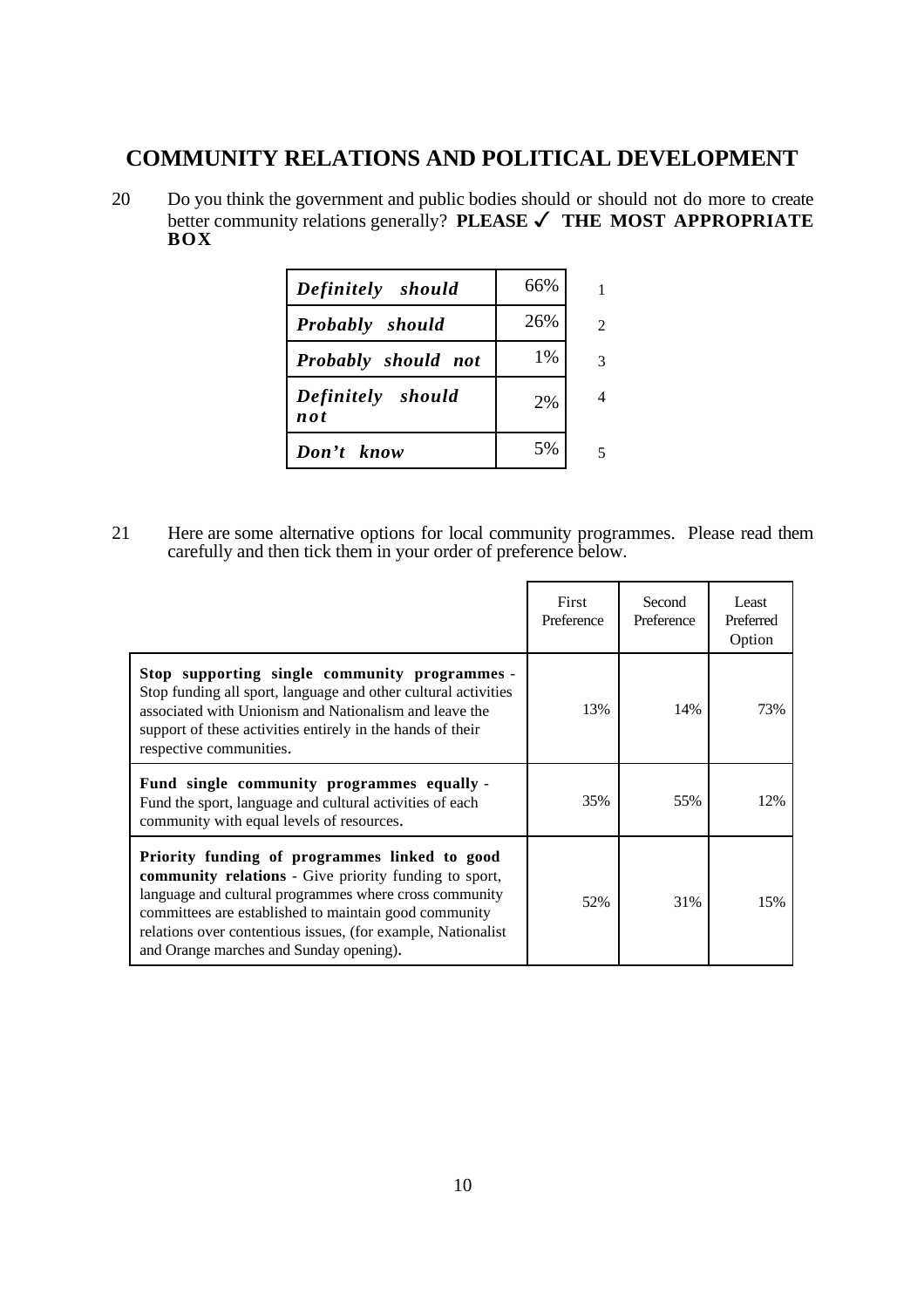# **COMMUNITY RELATIONS AND POLITICAL DEVELOPMENT**

20 Do you think the government and public bodies should or should not do more to create better community relations generally? **PLEASE** ✓ **THE MOST APPROPRIATE BOX**

| Definitely should          | 66% |                |
|----------------------------|-----|----------------|
| <b>Probably</b> should     | 26% | $\mathfrak{D}$ |
| Probably should not        | 1%  | 3              |
| Definitely should<br>n o t | 2%  | 4              |
| Don't know                 | 5%  |                |

21 Here are some alternative options for local community programmes. Please read them carefully and then tick them in your order of preference below.

|                                                                                                                                                                                                                                                                                                                                             | First<br>Preference | Second<br>Preference | Least<br>Preferred<br>Option |
|---------------------------------------------------------------------------------------------------------------------------------------------------------------------------------------------------------------------------------------------------------------------------------------------------------------------------------------------|---------------------|----------------------|------------------------------|
| Stop supporting single community programmes -<br>Stop funding all sport, language and other cultural activities<br>associated with Unionism and Nationalism and leave the<br>support of these activities entirely in the hands of their<br>respective communities.                                                                          | 13%                 | 14%                  | 73%                          |
| Fund single community programmes equally -<br>Fund the sport, language and cultural activities of each<br>community with equal levels of resources.                                                                                                                                                                                         | 35%                 | 55%                  | 12%                          |
| Priority funding of programmes linked to good<br><b>community relations</b> - Give priority funding to sport,<br>language and cultural programmes where cross community<br>committees are established to maintain good community<br>relations over contentious issues, (for example, Nationalist<br>and Orange marches and Sunday opening). | 52%                 | 31%                  | 15%                          |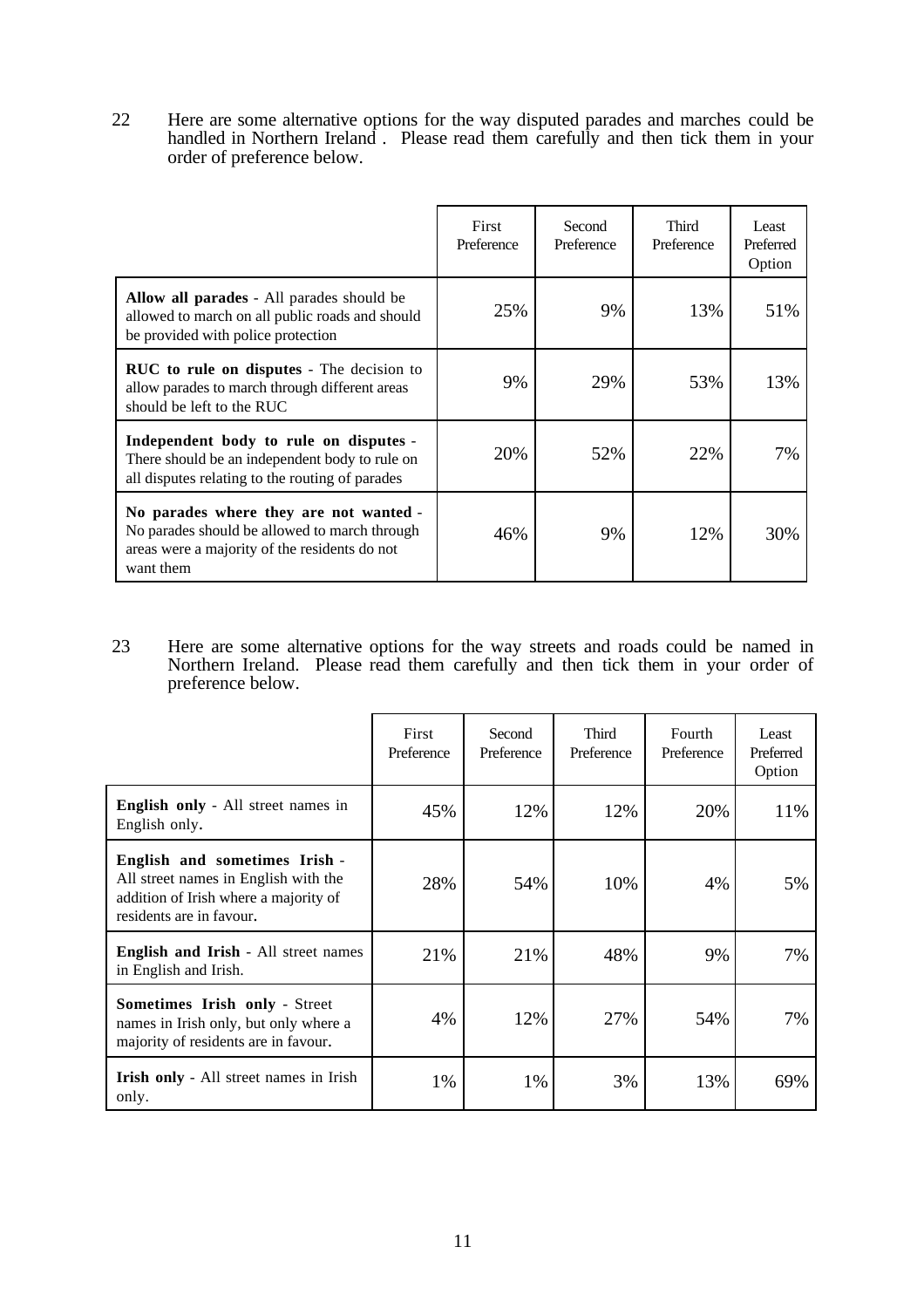22 Here are some alternative options for the way disputed parades and marches could be handled in Northern Ireland . Please read them carefully and then tick them in your order of preference below.

|                                                                                                                                                       | First<br>Preference | Second<br>Preference | Third<br>Preference | Least<br>Preferred<br>Option |
|-------------------------------------------------------------------------------------------------------------------------------------------------------|---------------------|----------------------|---------------------|------------------------------|
| Allow all parades - All parades should be<br>allowed to march on all public roads and should<br>be provided with police protection                    | 25%                 | 9%                   | 13%                 | 51%                          |
| <b>RUC</b> to rule on disputes - The decision to<br>allow parades to march through different areas<br>should be left to the RUC                       | 9%                  | 29%                  | 53%                 | 13%                          |
| Independent body to rule on disputes -<br>There should be an independent body to rule on<br>all disputes relating to the routing of parades           | 20%                 | 52%                  | 22%                 | 7%                           |
| No parades where they are not wanted -<br>No parades should be allowed to march through<br>areas were a majority of the residents do not<br>want them | 46%                 | 9%                   | 12%                 | 30%                          |

23 Here are some alternative options for the way streets and roads could be named in Northern Ireland. Please read them carefully and then tick them in your order of preference below.

|                                                                                                                                            | First<br>Preference | Second<br>Preference | <b>Third</b><br>Preference | Fourth<br>Preference | Least<br>Preferred<br>Option |
|--------------------------------------------------------------------------------------------------------------------------------------------|---------------------|----------------------|----------------------------|----------------------|------------------------------|
| <b>English only</b> - All street names in<br>English only.                                                                                 | 45%                 | 12%                  | 12%                        | 20%                  | 11%                          |
| English and sometimes Irish -<br>All street names in English with the<br>addition of Irish where a majority of<br>residents are in favour. | 28%                 | 54%                  | 10%                        | 4%                   | 5%                           |
| <b>English and Irish</b> - All street names<br>in English and Irish.                                                                       | 21%                 | 21%                  | 48%                        | 9%                   | 7%                           |
| Sometimes Irish only - Street<br>names in Irish only, but only where a<br>majority of residents are in favour.                             | 4%                  | 12%                  | 27%                        | 54%                  | 7%                           |
| <b>Irish only</b> - All street names in Irish<br>only.                                                                                     | 1%                  | 1%                   | 3%                         | 13%                  | 69%                          |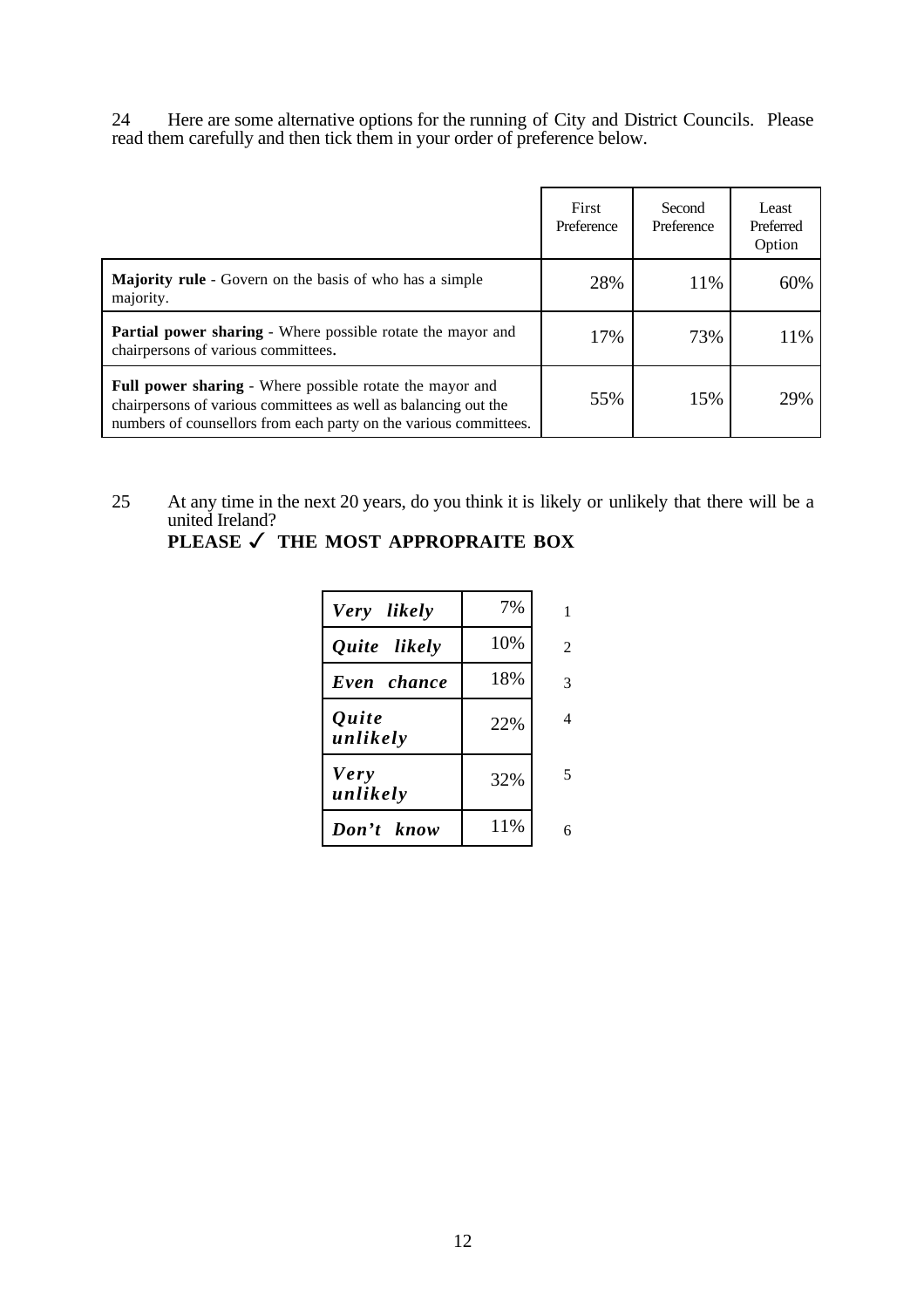24 Here are some alternative options for the running of City and District Councils. Please read them carefully and then tick them in your order of preference below.

|                                                                                                                                                                                                         | First<br>Preference | Second<br>Preference | Least<br>Preferred<br>Option |
|---------------------------------------------------------------------------------------------------------------------------------------------------------------------------------------------------------|---------------------|----------------------|------------------------------|
| <b>Majority rule</b> - Govern on the basis of who has a simple<br>majority.                                                                                                                             | 28%                 | 11%                  | 60%                          |
| <b>Partial power sharing - Where possible rotate the mayor and</b><br>chairpersons of various committees.                                                                                               | 17%                 | 73%                  | 11%                          |
| <b>Full power sharing - Where possible rotate the mayor and</b><br>chairpersons of various committees as well as balancing out the<br>numbers of counsellors from each party on the various committees. | 55%                 | 15%                  | 29%                          |

25 At any time in the next 20 years, do you think it is likely or unlikely that there will be a united Ireland?

| Very likely             | 7%  | 1              |
|-------------------------|-----|----------------|
| Quite likely            | 10% | $\overline{2}$ |
| Even chance             | 18% | 3              |
| Quite<br>unlikely       | 22% | $\overline{4}$ |
| <b>Very</b><br>unlikely | 32% | 5              |
| Don't know              | 11% | 6              |

**PLEASE** ✓ **THE MOST APPROPRAITE BOX**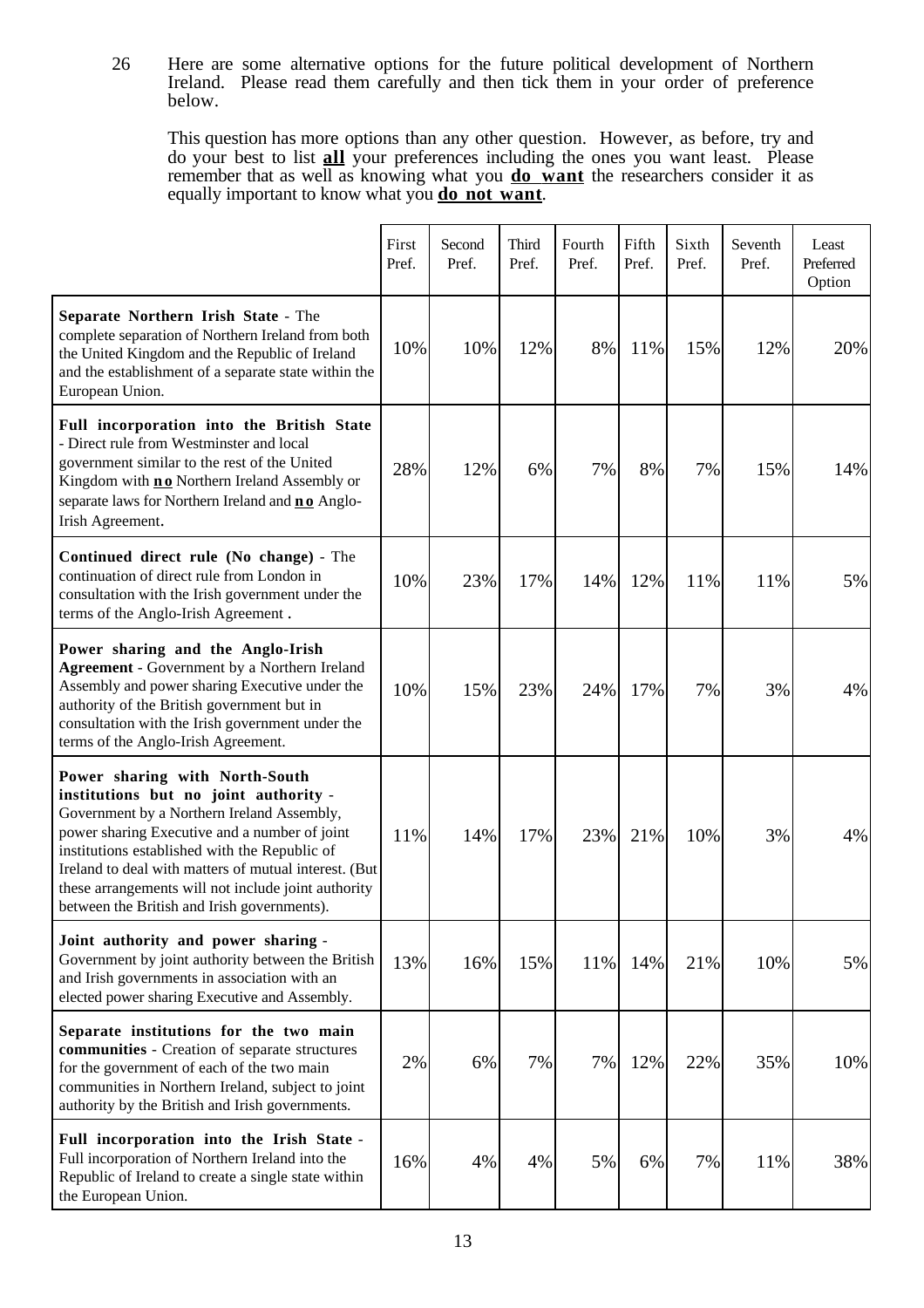26 Here are some alternative options for the future political development of Northern Ireland. Please read them carefully and then tick them in your order of preference below.

This question has more options than any other question. However, as before, try and do your best to list **all** your preferences including the ones you want least. Please remember that as well as knowing what you **do want** the researchers consider it as equally important to know what you **do not want**.

|                                                                                                                                                                                                                                                                                                                                                                                        | First<br>Pref. | Second<br>Pref. | Third<br>Pref. | Fourth<br>Pref. | Fifth<br>Pref. | Sixth<br>Pref. | Seventh<br>Pref. | Least<br>Preferred<br>Option |
|----------------------------------------------------------------------------------------------------------------------------------------------------------------------------------------------------------------------------------------------------------------------------------------------------------------------------------------------------------------------------------------|----------------|-----------------|----------------|-----------------|----------------|----------------|------------------|------------------------------|
| Separate Northern Irish State - The<br>complete separation of Northern Ireland from both<br>the United Kingdom and the Republic of Ireland<br>and the establishment of a separate state within the<br>European Union.                                                                                                                                                                  | 10%            | 10%             | 12%            | 8%              | 11%            | 15%            | 12%              | 20%                          |
| Full incorporation into the British State<br>- Direct rule from Westminster and local<br>government similar to the rest of the United<br>Kingdom with <b>no</b> Northern Ireland Assembly or<br>separate laws for Northern Ireland and <b>no</b> Anglo-<br>Irish Agreement.                                                                                                            | 28%            | 12%             | 6%             | 7%              | 8%             | 7%             | 15%              | 14%                          |
| Continued direct rule (No change) - The<br>continuation of direct rule from London in<br>consultation with the Irish government under the<br>terms of the Anglo-Irish Agreement.                                                                                                                                                                                                       | 10%            | 23%             | 17%            | 14%             | 12%            | 11%            | 11%              | 5%                           |
| Power sharing and the Anglo-Irish<br><b>Agreement</b> - Government by a Northern Ireland<br>Assembly and power sharing Executive under the<br>authority of the British government but in<br>consultation with the Irish government under the<br>terms of the Anglo-Irish Agreement.                                                                                                    | 10%            | 15%             | 23%            | 24%             | 17%            | 7%             | 3%               | $4\%$                        |
| Power sharing with North-South<br>institutions but no joint authority -<br>Government by a Northern Ireland Assembly,<br>power sharing Executive and a number of joint<br>institutions established with the Republic of<br>Ireland to deal with matters of mutual interest. (But<br>these arrangements will not include joint authority<br>between the British and Irish governments). | 11%            | 14%             | 17%            | 23%             | 21%            | 10%            | 3%               | $4\%$                        |
| Joint authority and power sharing -<br>Government by joint authority between the British<br>and Irish governments in association with an<br>elected power sharing Executive and Assembly.                                                                                                                                                                                              | 13%            | 16%             | 15%            | 11%             | 14%            | 21%            | 10%              | 5%                           |
| Separate institutions for the two main<br>communities - Creation of separate structures<br>for the government of each of the two main<br>communities in Northern Ireland, subject to joint<br>authority by the British and Irish governments.                                                                                                                                          | 2%             | 6%              | 7%             | 7%              | 12%            | 22%            | 35%              | 10%                          |
| Full incorporation into the Irish State -<br>Full incorporation of Northern Ireland into the<br>Republic of Ireland to create a single state within<br>the European Union.                                                                                                                                                                                                             | 16%            | 4%              | 4%             | 5%              | 6%             | 7%             | 11%              | 38%                          |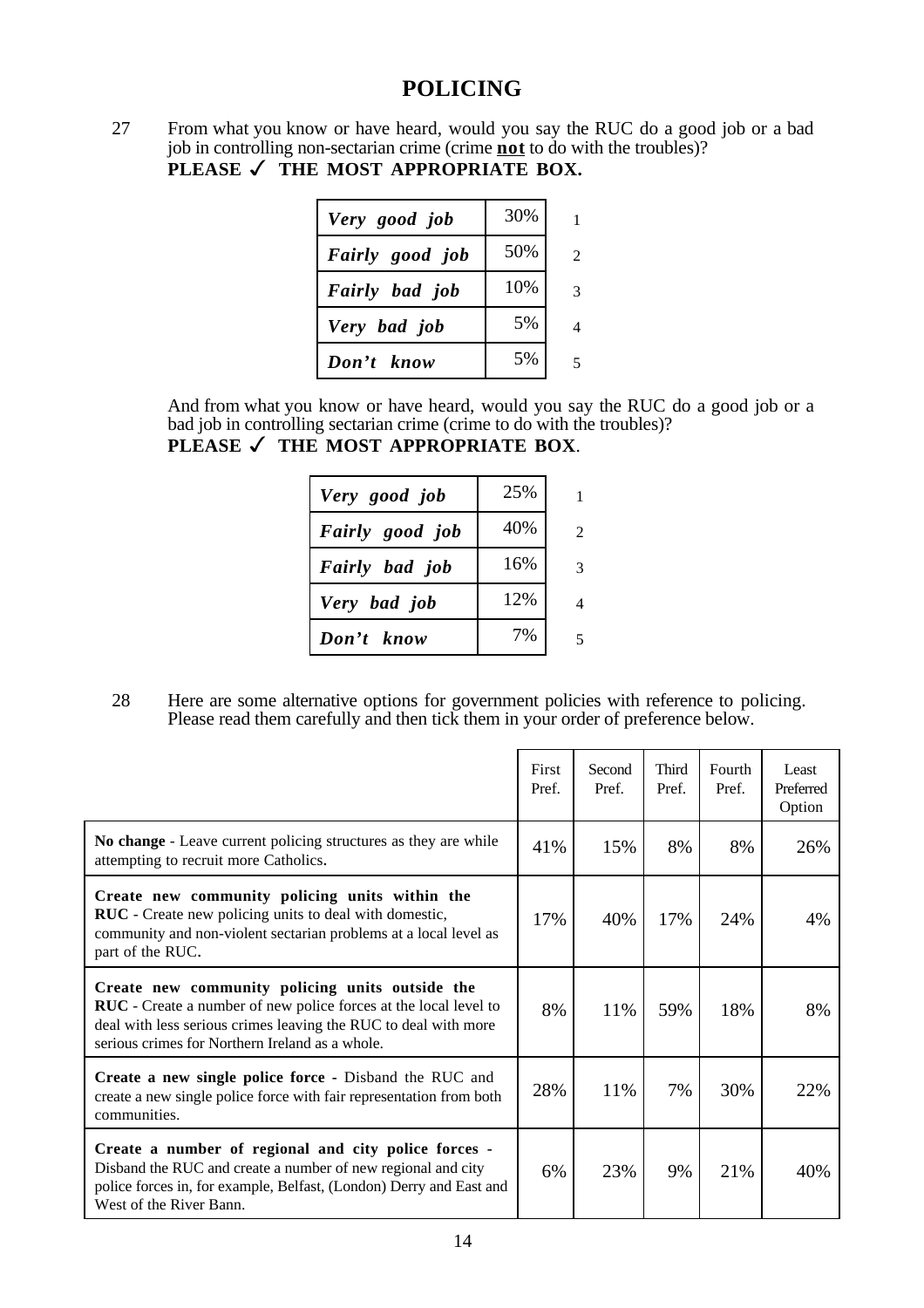# **POLICING**

27 From what you know or have heard, would you say the RUC do a good job or a bad job in controlling non-sectarian crime (crime **not** to do with the troubles)? **PLEASE √ THE MOST APPROPRIATE BOX.** 

| Very good job   | 30% |  |
|-----------------|-----|--|
| Fairly good job | 50% |  |
| Fairly bad job  | 10% |  |
| Very bad job    | 5%  |  |
| Don't know      | 5%  |  |

And from what you know or have heard, would you say the RUC do a good job or a bad job in controlling sectarian crime (crime to do with the troubles)?

|  |  | PLEASE √ THE MOST APPROPRIATE BOX. |  |
|--|--|------------------------------------|--|
|--|--|------------------------------------|--|

| Very good job   | 25% |  |
|-----------------|-----|--|
| Fairly good job | 40% |  |
| Fairly bad job  | 16% |  |
| Very bad job    | 12% |  |
| Don't know      | 7%  |  |

28 Here are some alternative options for government policies with reference to policing. Please read them carefully and then tick them in your order of preference below.

|                                                                                                                                                                                                                                                  | First<br>Pref. | Second<br>Pref. | Third<br>Pref. | Fourth<br>Pref. | Least<br>Preferred<br>Option |
|--------------------------------------------------------------------------------------------------------------------------------------------------------------------------------------------------------------------------------------------------|----------------|-----------------|----------------|-----------------|------------------------------|
| No change - Leave current policing structures as they are while<br>attempting to recruit more Catholics.                                                                                                                                         | 41%            | 15%             | 8%             | 8%              | 26%                          |
| Create new community policing units within the<br>RUC - Create new policing units to deal with domestic,<br>community and non-violent sectarian problems at a local level as<br>part of the RUC.                                                 | 17%            | 40%             | 17%            | 24%             | 4%                           |
| Create new community policing units outside the<br><b>RUC</b> - Create a number of new police forces at the local level to<br>deal with less serious crimes leaving the RUC to deal with more<br>serious crimes for Northern Ireland as a whole. | 8%             | 11%             | 59%            | 18%             | 8%                           |
| Create a new single police force - Disband the RUC and<br>create a new single police force with fair representation from both<br>communities.                                                                                                    | 28%            | 11%             | 7%             | 30%             | 22%                          |
| Create a number of regional and city police forces -<br>Disband the RUC and create a number of new regional and city<br>police forces in, for example, Belfast, (London) Derry and East and<br>West of the River Bann.                           | 6%             | 23%             | 9%             | 21%             | 40%                          |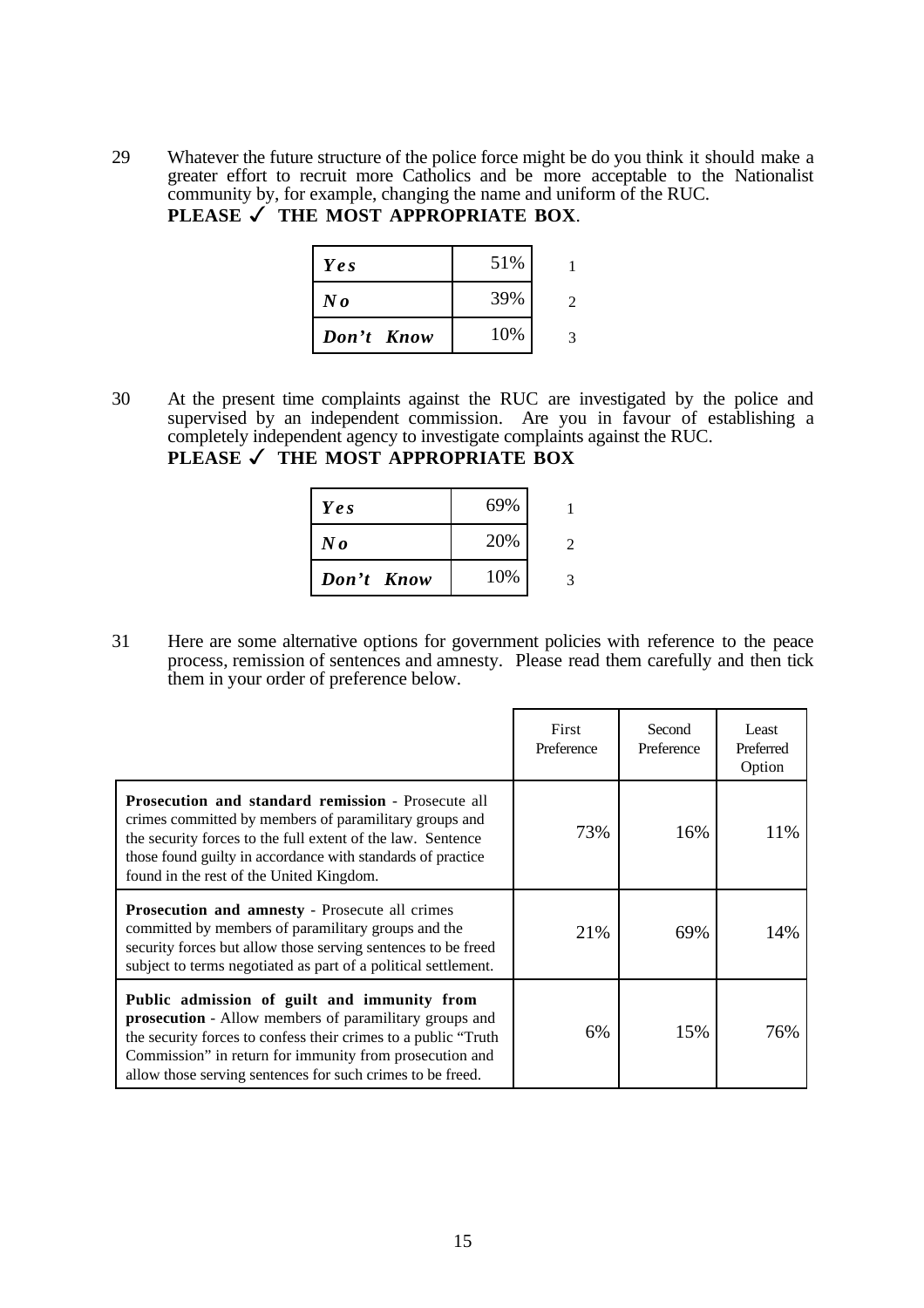29 Whatever the future structure of the police force might be do you think it should make a greater effort to recruit more Catholics and be more acceptable to the Nationalist community by, for example, changing the name and uniform of the RUC. **PLEASE** ✓ **THE MOST APPROPRIATE BOX**.

| Yes                  | 51% |  |
|----------------------|-----|--|
| $N_{\boldsymbol{0}}$ | 39% |  |
| Don't Know           | 10% |  |

30 At the present time complaints against the RUC are investigated by the police and supervised by an independent commission. Are you in favour of establishing a completely independent agency to investigate complaints against the RUC. **PLEASE** ✓ **THE MOST APPROPRIATE BOX**

| Yes        | 69% |  |
|------------|-----|--|
| N o        | 20% |  |
| Don't Know | 10% |  |

31 Here are some alternative options for government policies with reference to the peace process, remission of sentences and amnesty. Please read them carefully and then tick them in your order of preference below.

|                                                                                                                                                                                                                                                                                                          | First<br>Preference | Second<br>Preference | Least<br>Preferred<br>Option |
|----------------------------------------------------------------------------------------------------------------------------------------------------------------------------------------------------------------------------------------------------------------------------------------------------------|---------------------|----------------------|------------------------------|
| Prosecution and standard remission - Prosecute all<br>crimes committed by members of paramilitary groups and<br>the security forces to the full extent of the law. Sentence<br>those found guilty in accordance with standards of practice<br>found in the rest of the United Kingdom.                   | 73%                 | 16%                  | 11%                          |
| <b>Prosecution and amnesty - Prosecute all crimes</b><br>committed by members of paramilitary groups and the<br>security forces but allow those serving sentences to be freed<br>subject to terms negotiated as part of a political settlement.                                                          | 21%                 | 69%                  | 14%                          |
| Public admission of guilt and immunity from<br><b>prosecution</b> - Allow members of paramilitary groups and<br>the security forces to confess their crimes to a public "Truth"<br>Commission" in return for immunity from prosecution and<br>allow those serving sentences for such crimes to be freed. | 6%                  | 15%                  | 76%                          |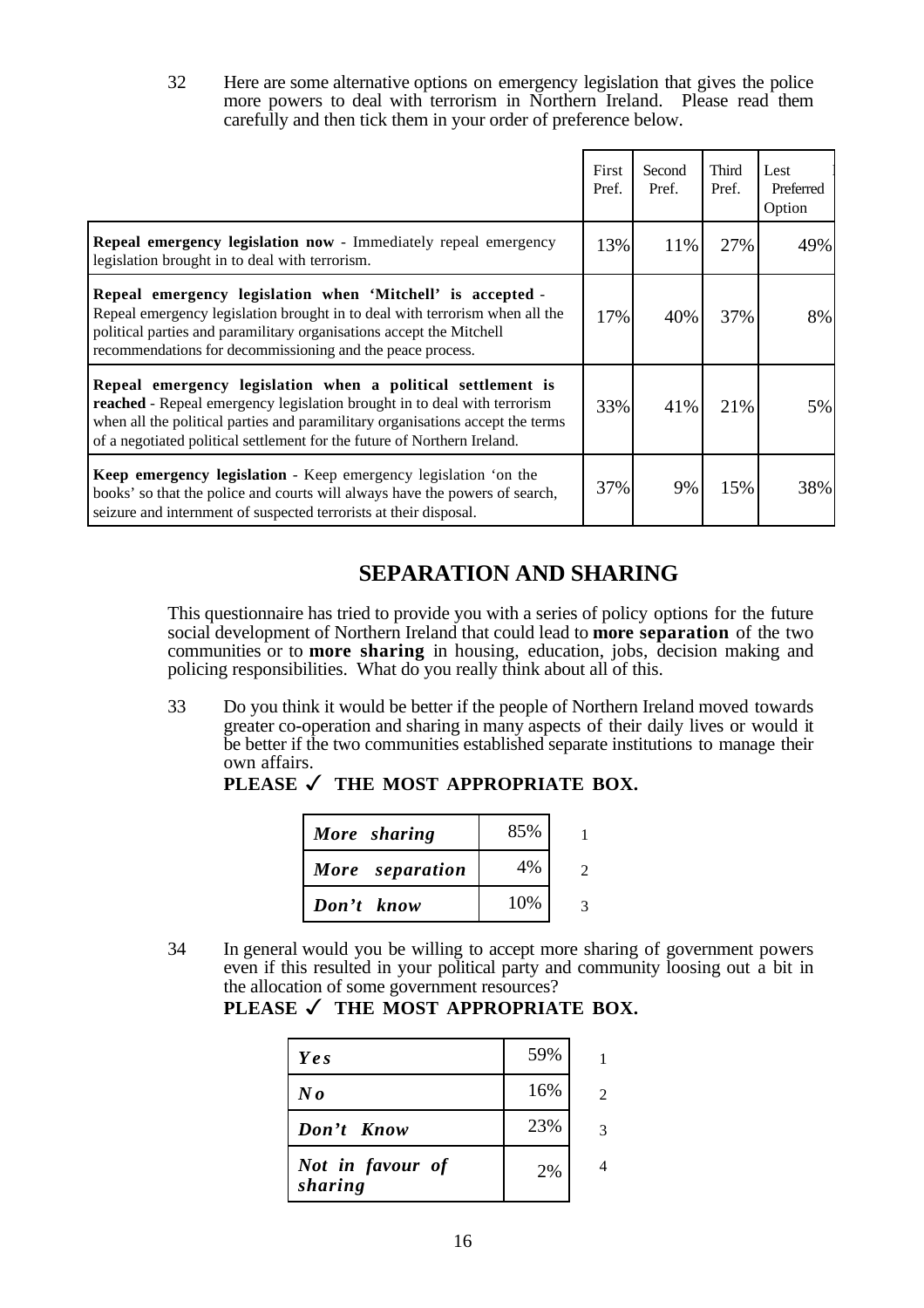32 Here are some alternative options on emergency legislation that gives the police more powers to deal with terrorism in Northern Ireland. Please read them carefully and then tick them in your order of preference below.

|                                                                                                                                                                                                                                                                                                       | First<br>Pref. | Second<br>Pref. | Third<br>Pref. | Lest<br>Preferred<br>Option |
|-------------------------------------------------------------------------------------------------------------------------------------------------------------------------------------------------------------------------------------------------------------------------------------------------------|----------------|-----------------|----------------|-----------------------------|
| Repeal emergency legislation now - Immediately repeal emergency<br>legislation brought in to deal with terrorism.                                                                                                                                                                                     | 13%            | 11%             | 27%            | 49%                         |
| Repeal emergency legislation when 'Mitchell' is accepted -<br>Repeal emergency legislation brought in to deal with terrorism when all the<br>political parties and paramilitary organisations accept the Mitchell<br>recommendations for decommissioning and the peace process.                       | 17%            | 40%             | 37%            | 8%                          |
| Repeal emergency legislation when a political settlement is<br>reached - Repeal emergency legislation brought in to deal with terrorism<br>when all the political parties and paramilitary organisations accept the terms<br>of a negotiated political settlement for the future of Northern Ireland. | 33%            | 41%             | 21%            | 5%                          |
| <b>Keep emergency legislation</b> - Keep emergency legislation 'on the<br>books' so that the police and courts will always have the powers of search,<br>seizure and internment of suspected terrorists at their disposal.                                                                            | 37%            | 9%              | 15%            | 38%                         |

# **SEPARATION AND SHARING**

This questionnaire has tried to provide you with a series of policy options for the future social development of Northern Ireland that could lead to **more separation** of the two communities or to **more sharing** in housing, education, jobs, decision making and policing responsibilities. What do you really think about all of this.

33 Do you think it would be better if the people of Northern Ireland moved towards greater co-operation and sharing in many aspects of their daily lives or would it be better if the two communities established separate institutions to manage their own affairs.

| More sharing    | 85% |  |
|-----------------|-----|--|
| More separation | 4%  |  |
| Don't know      | 10% |  |

PLEASE √ THE MOST APPROPRIATE BOX.

34 In general would you be willing to accept more sharing of government powers even if this resulted in your political party and community loosing out a bit in the allocation of some government resources?

| Yes                         | 59% |                |
|-----------------------------|-----|----------------|
| $N\mathbf{0}$               | 16% | $\mathfrak{D}$ |
| Don't Know                  | 23% | 3              |
| Not in favour of<br>sharing | 2%  |                |

### PLEASE √ THE MOST APPROPRIATE BOX.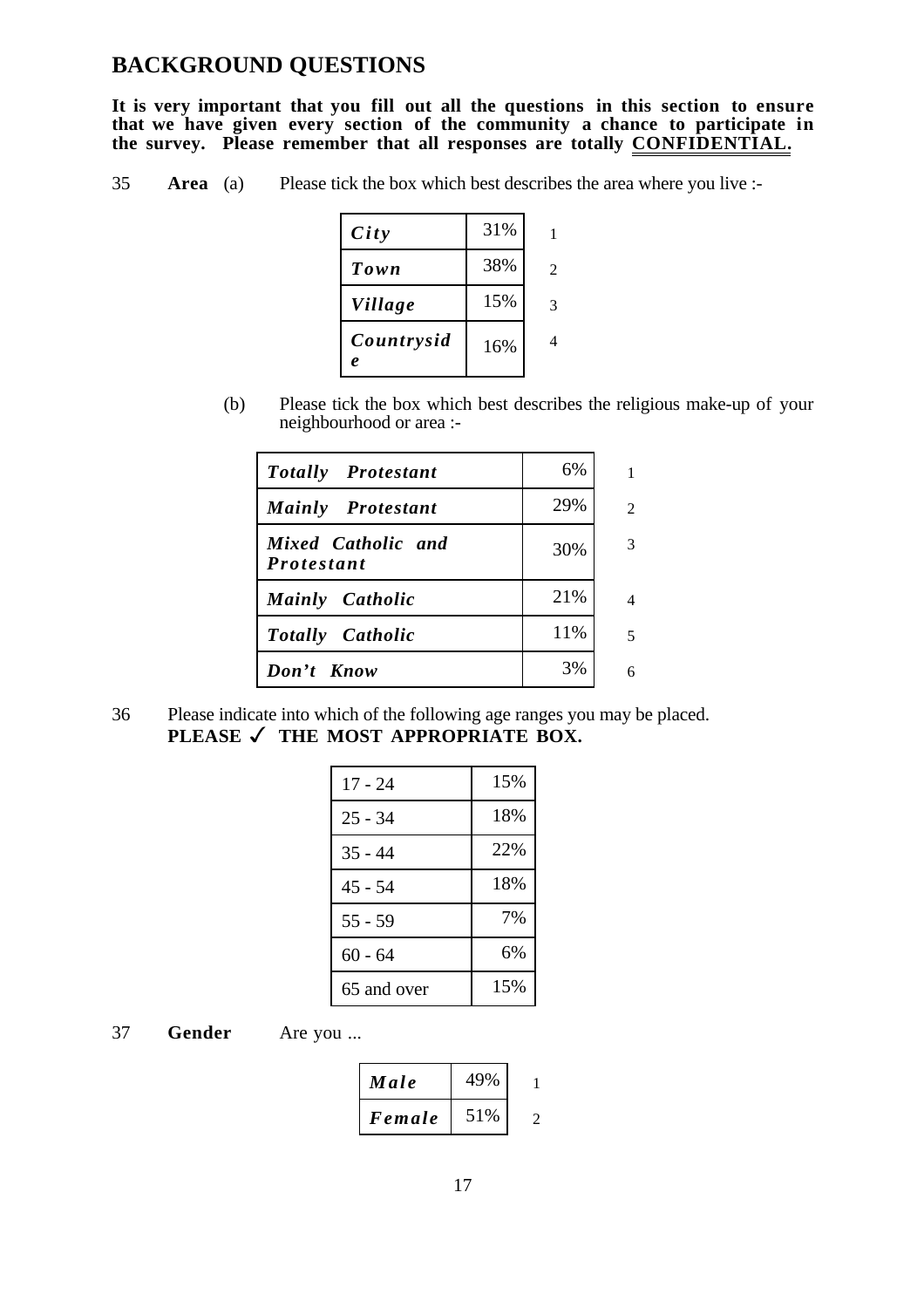## **BACKGROUND QUESTIONS**

**It is very important that you fill out all the questions in this section to ensure that we have given every section of the community a chance to participate in the survey. Please remember that all responses are totally CONFIDENTIAL.** 

35 **Area** (a) Please tick the box which best describes the area where you live :-

| City            | 31% |   |
|-----------------|-----|---|
| Town            | 38% | 2 |
| Village         | 15% | 3 |
| Countrysid<br>e | 16% |   |

(b) Please tick the box which best describes the religious make-up of your neighbourhood or area :-

| <b>Totally Protestant</b>               | 6%  | 1              |
|-----------------------------------------|-----|----------------|
| <b>Mainly</b> Protestant                | 29% | $\overline{c}$ |
| Mixed Catholic and<br><i>Protestant</i> | 30% | 3              |
| <b>Mainly</b> Catholic                  | 21% | 4              |
| <b>Totally</b> Catholic                 | 11% | 5              |
| Don't Know                              | 3%  | 6              |

36 Please indicate into which of the following age ranges you may be placed. PLEASE √ THE MOST APPROPRIATE BOX.

| 17 - 24     | 15% |
|-------------|-----|
| 25 - 34     | 18% |
| $35 - 44$   | 22% |
| 45 - 54     | 18% |
| $55 - 59$   | 7%  |
| 60 - 64     | 6%  |
| 65 and over | 15% |

37 **Gender** Are you ...

| Male   | 49% |  |
|--------|-----|--|
| Female | 51% |  |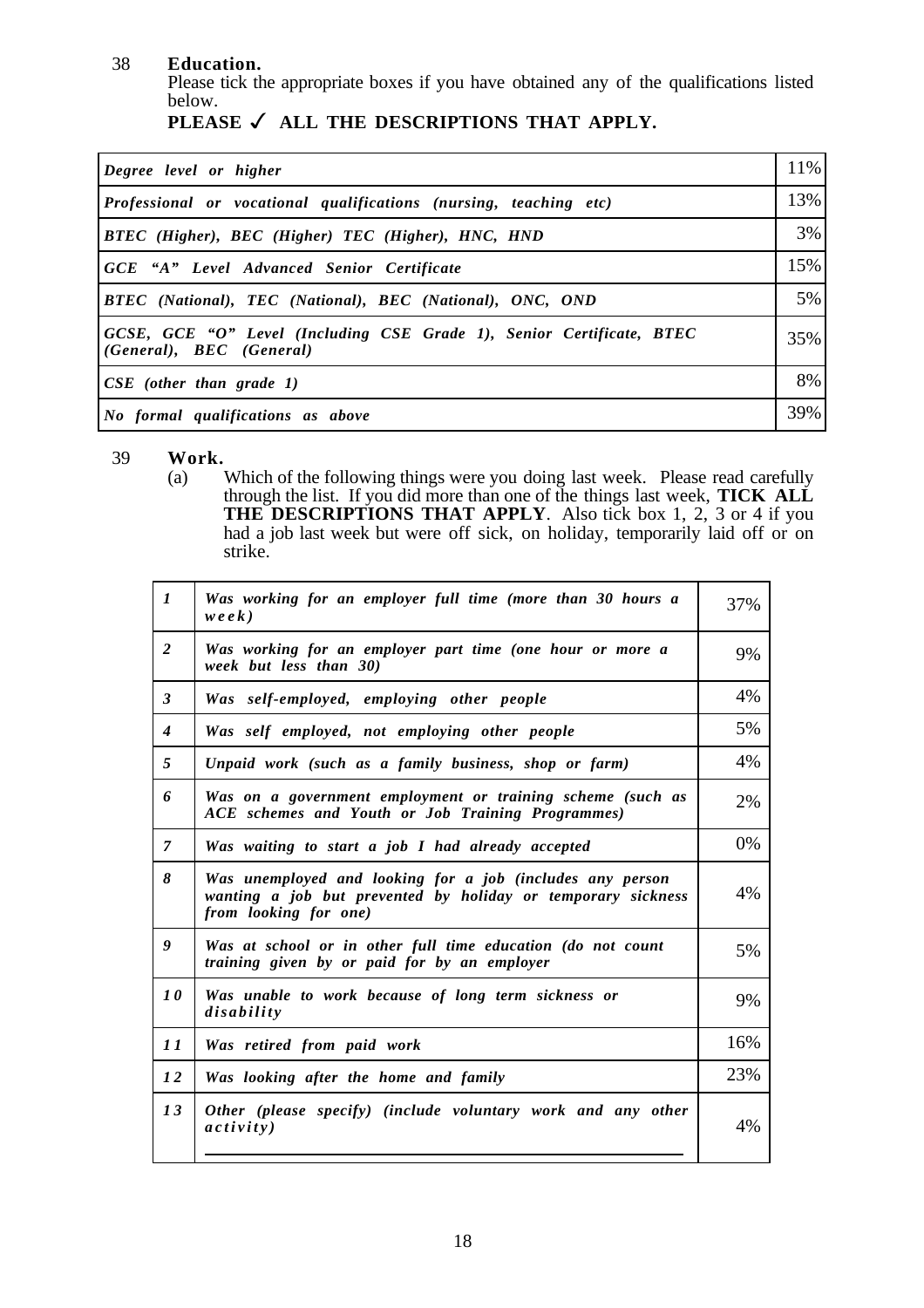### 38 **Education.**

Please tick the appropriate boxes if you have obtained any of the qualifications listed below.

|  |  | PLEASE $\checkmark$ all the DESCRIPTIONS THAT APPLY. |  |  |
|--|--|------------------------------------------------------|--|--|
|--|--|------------------------------------------------------|--|--|

| Degree level or higher                                                                            | 11% |
|---------------------------------------------------------------------------------------------------|-----|
| <i>Professional or vocational qualifications (nursing, teaching etc)</i>                          | 13% |
| <b>BTEC</b> (Higher), BEC (Higher) TEC (Higher), HNC, HND                                         | 3%  |
| <b>GCE</b> "A" Level Advanced Senior Certificate                                                  | 15% |
| <b>BTEC</b> (National), TEC (National), BEC (National), ONC, OND                                  | 5%  |
| GCSE, GCE "O" Level (Including CSE Grade 1), Senior Certificate, BTEC<br>(General), BEC (General) | 35% |
| $CSE$ (other than grade 1)                                                                        | 8%  |
| No formal qualifications as above                                                                 | 39% |

39 **Work.**

Which of the following things were you doing last week. Please read carefully through the list. If you did more than one of the things last week, **TICK ALL THE DESCRIPTIONS THAT APPLY**. Also tick box 1, 2, 3 or 4 if you had a job last week but were off sick, on holiday, temporarily laid off or on strike.

| $\boldsymbol{l}$ | Was working for an employer full time (more than 30 hours a<br>$wee$ k)                                                                            | 37% |
|------------------|----------------------------------------------------------------------------------------------------------------------------------------------------|-----|
| $\overline{2}$   | Was working for an employer part time (one hour or more a<br>week but less than 30)                                                                | 9%  |
| $\mathbf{3}$     | Was self-employed, employing other people                                                                                                          | 4%  |
| $\boldsymbol{4}$ | Was self employed, not employing other people                                                                                                      | 5%  |
| 5                | Unpaid work (such as a family business, shop or farm)                                                                                              | 4%  |
| 6                | Was on a government employment or training scheme (such as<br>ACE schemes and Youth or Job Training Programmes)                                    | 2%  |
| $\overline{7}$   | Was waiting to start a job I had already accepted                                                                                                  | 0%  |
| 8                | Was unemployed and looking for a job (includes any person<br>wanting a job but prevented by holiday or temporary sickness<br>from looking for one) | 4%  |
| 9                | Was at school or in other full time education (do not count<br>training given by or paid for by an employer                                        | 5%  |
| 10               | Was unable to work because of long term sickness or<br>disability                                                                                  | 9%  |
| 11               | Was retired from paid work                                                                                                                         | 16% |
| 12               | Was looking after the home and family                                                                                                              | 23% |
| 13               | Other (please specify) (include voluntary work and any other<br>activity)                                                                          | 4%  |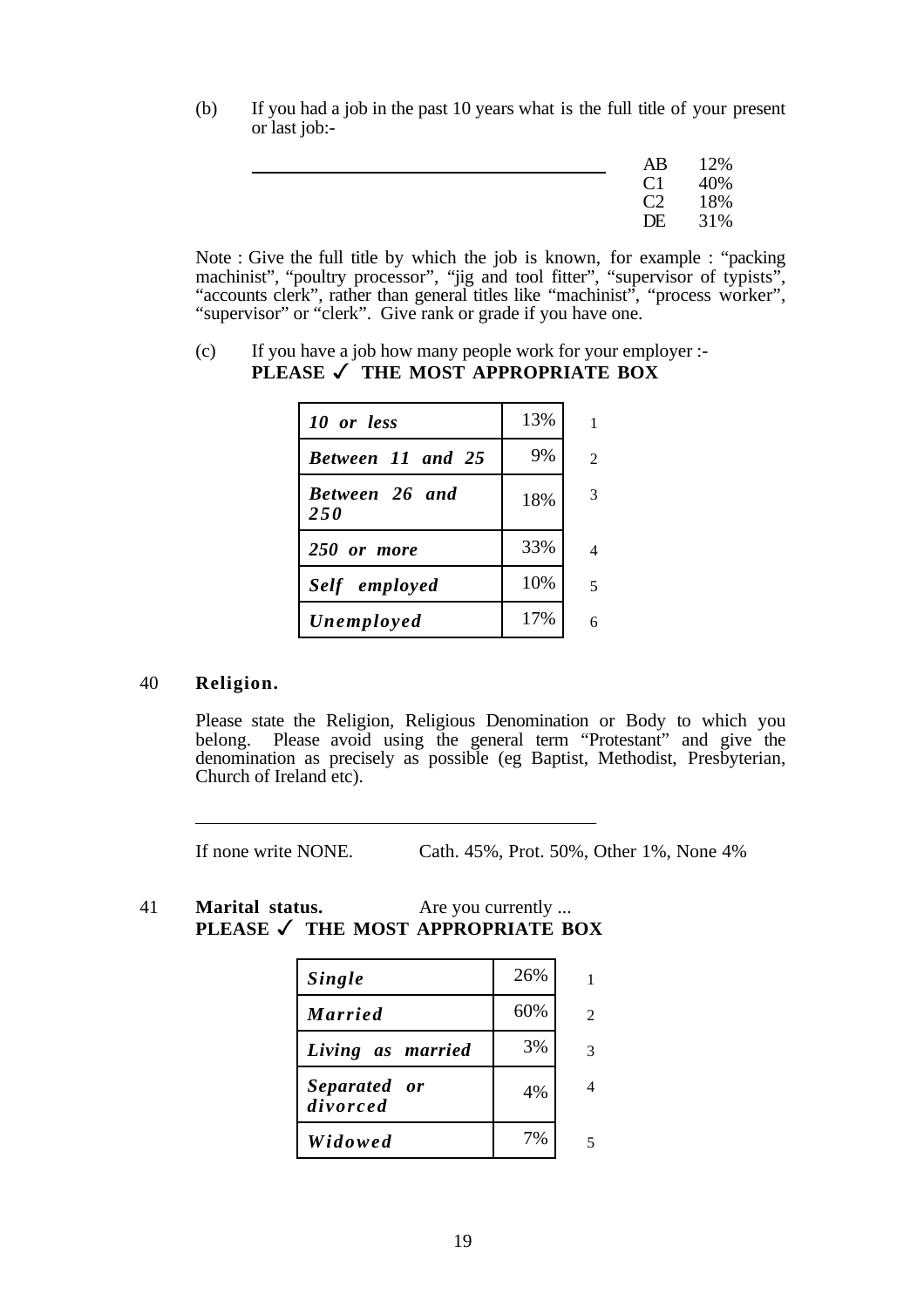(b) If you had a job in the past 10 years what is the full title of your present or last job:-

| $C1 \t 40\%$       |     |
|--------------------|-----|
| C <sub>2</sub> 18% |     |
| DE                 | 31% |

Note : Give the full title by which the job is known, for example : "packing machinist", "poultry processor", "jig and tool fitter", "supervisor of typists", "accounts clerk", rather than general titles like "machinist", "process worker", "supervisor" or "clerk". Give rank or grade if you have one.

(c) If you have a job how many people work for your employer :- **PLEASE** ✓ **THE MOST APPROPRIATE BOX**

| 10 or less                   | 13% |                             |
|------------------------------|-----|-----------------------------|
| <b>Between 11 and 25</b>     | 9%  | $\mathcal{D}_{\mathcal{L}}$ |
| Between 26 and<br><b>250</b> | 18% | 3                           |
| 250 or more                  | 33% |                             |
| Self employed                | 10% |                             |
| Unemployed                   | 17% |                             |

#### 40 **Religion.**

 $\overline{a}$ 

Please state the Religion, Religious Denomination or Body to which you belong. Please avoid using the general term "Protestant" and give the denomination as precisely as possible (eg Baptist, Methodist, Presbyterian, Church of Ireland etc).

If none write NONE. Cath. 45%, Prot. 50%, Other 1%, None 4%

41 **Marital status.** Are you currently ... **PLEASE** ✓ **THE MOST APPROPRIATE BOX**

| <b>Single</b>            | 26% |                |
|--------------------------|-----|----------------|
| <b>Married</b>           | 60% | $\mathfrak{D}$ |
| Living as married        | 3%  | 3              |
| Separated or<br>divorced | 4%  | 4              |
| Widowed                  | 7%  |                |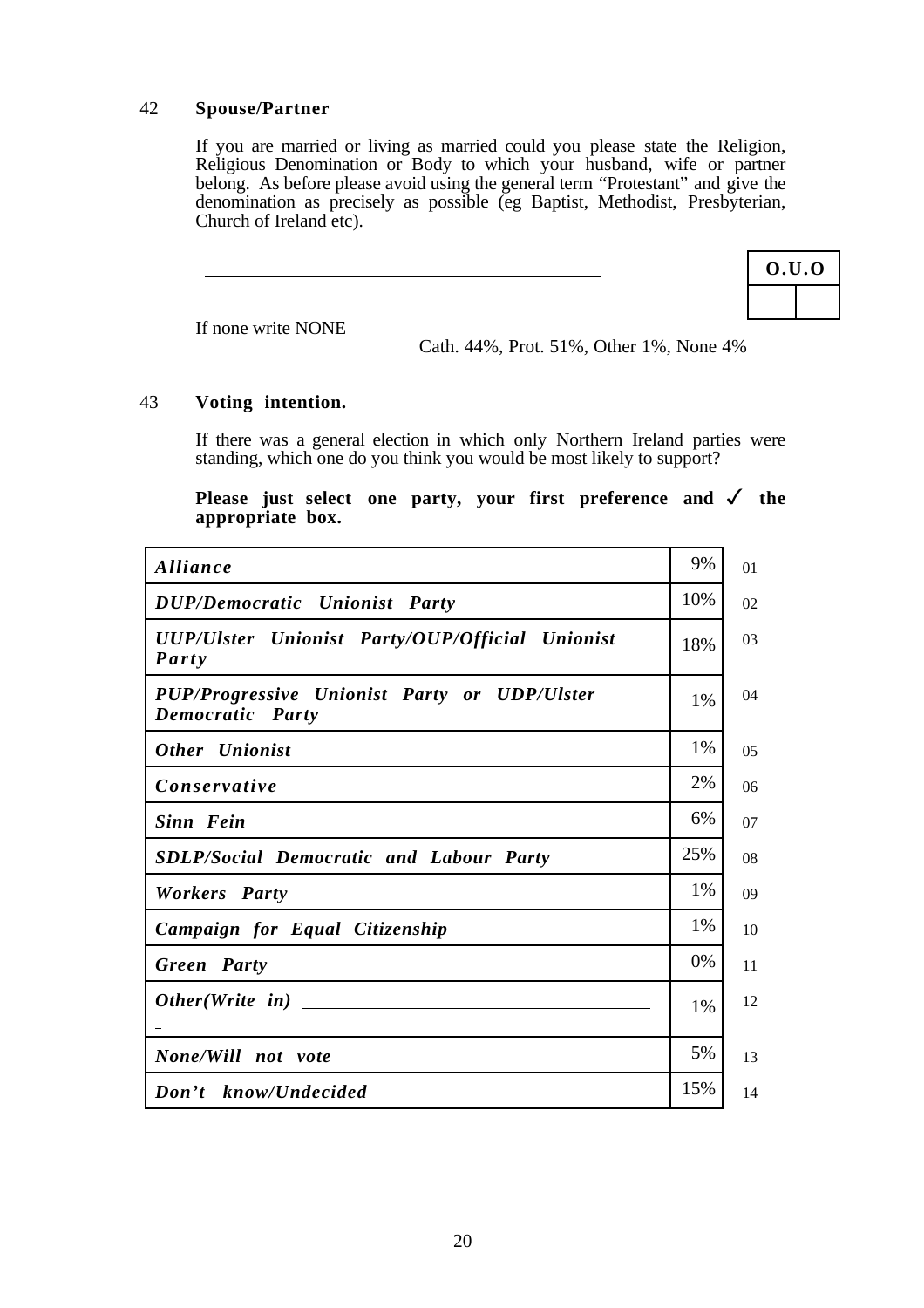#### 42 **Spouse/Partner**

If you are married or living as married could you please state the Religion, Religious Denomination or Body to which your husband, wife or partner belong. As before please avoid using the general term "Protestant" and give the denomination as precisely as possible (eg Baptist, Methodist, Presbyterian, Church of Ireland etc).

|  | 0.U.0 |  |
|--|-------|--|
|  |       |  |

If none write NONE

Cath. 44%, Prot. 51%, Other 1%, None 4%

#### 43 **Voting intention.**

If there was a general election in which only Northern Ireland parties were standing, which one do you think you would be most likely to support?

#### **Please just select one party, your first preference and** ✓ **the appropriate box.**

| Alliance                                                         | 9%    | 01             |
|------------------------------------------------------------------|-------|----------------|
| <b>DUP/Democratic Unionist Party</b>                             | 10%   | 02             |
| UUP/Ulster Unionist Party/OUP/Official Unionist<br>Party         | 18%   | 03             |
| PUP/Progressive Unionist Party or UDP/Ulster<br>Democratic Party | 1%    | 04             |
| <b>Other</b> Unionist                                            | 1%    | 0 <sub>5</sub> |
| Conservative                                                     | 2%    | 06             |
| Sinn Fein                                                        | 6%    | 07             |
| <b>SDLP/Social Democratic and Labour Party</b>                   | 25%   | 08             |
| <b>Workers</b> Party                                             | 1%    | 09             |
| Campaign for Equal Citizenship                                   | 1%    | 10             |
| Green Party                                                      | 0%    | 11             |
|                                                                  | $1\%$ | 12             |
|                                                                  |       |                |
| None/Will not vote                                               | 5%    | 13             |
| Don't know/Undecided                                             | 15%   | 14             |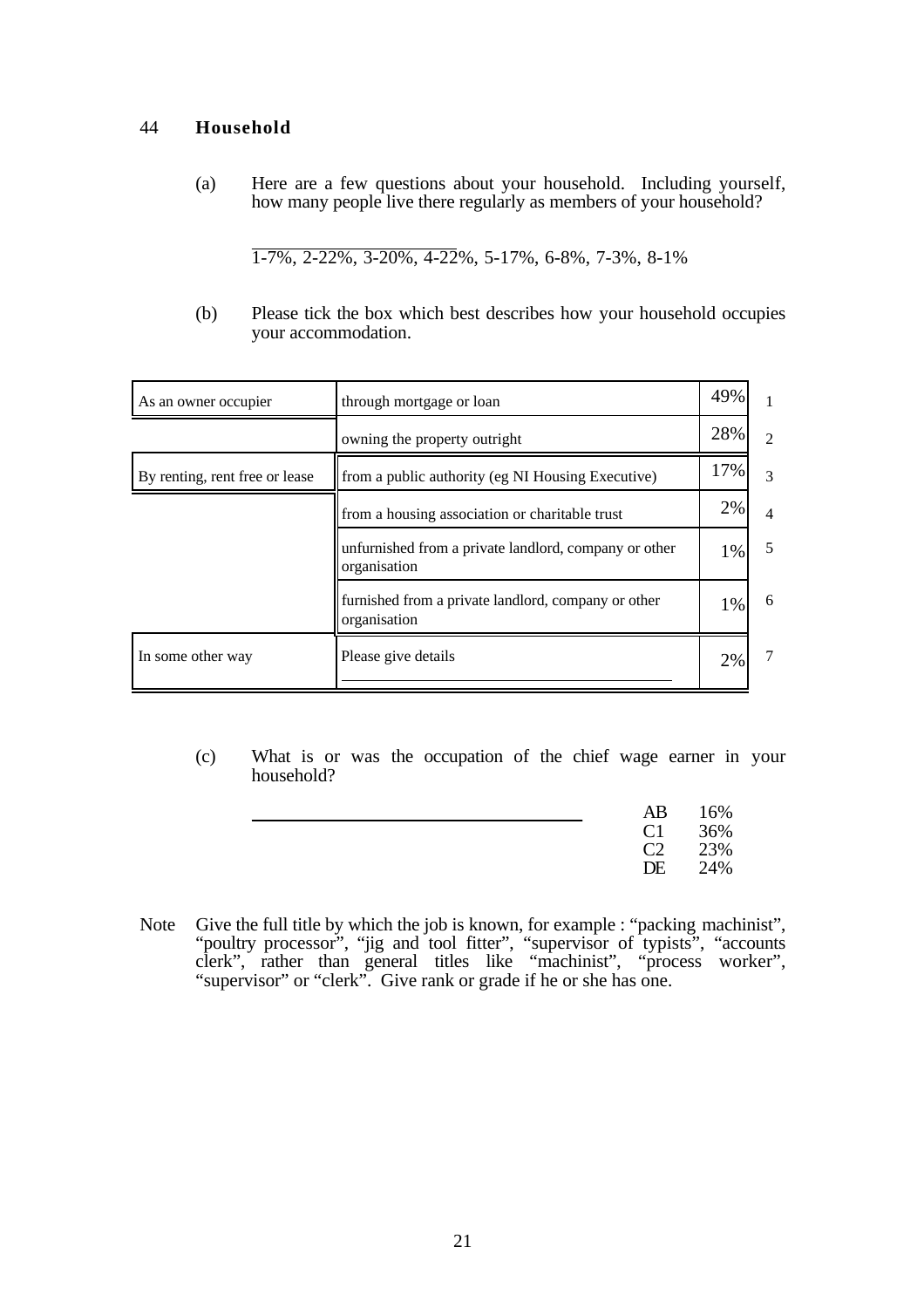#### 44 **Household**

(a) Here are a few questions about your household. Including yourself, how many people live there regularly as members of your household?

1-7%, 2-22%, 3-20%, 4-22%, 5-17%, 6-8%, 7-3%, 8-1%

(b) Please tick the box which best describes how your household occupies your accommodation.

| As an owner occupier           | through mortgage or loan                                              | 49% | 1               |
|--------------------------------|-----------------------------------------------------------------------|-----|-----------------|
|                                | owning the property outright                                          | 28% | $\mathfrak{D}$  |
| By renting, rent free or lease | from a public authority (eg NI Housing Executive)                     | 17% | 3               |
|                                | from a housing association or charitable trust                        | 2%  | $\overline{4}$  |
|                                | unfurnished from a private landlord, company or other<br>organisation | 1%  | 5               |
|                                | furnished from a private landlord, company or other<br>organisation   | 1%  | 6               |
| In some other way              | Please give details                                                   | 2%  | $7\phantom{.0}$ |

(c) What is or was the occupation of the chief wage earner in your household?

| AB           | - 16% |
|--------------|-------|
| $C1 \t 36\%$ |       |
| $C2 \t 23\%$ |       |
| DE           | 24%   |

Note Give the full title by which the job is known, for example : "packing machinist", "poultry processor", "jig and tool fitter", "supervisor of typists", "accounts clerk", rather than general titles like "machinist", "process worker", "supervisor" or "clerk". Give rank or grade if he or she has one.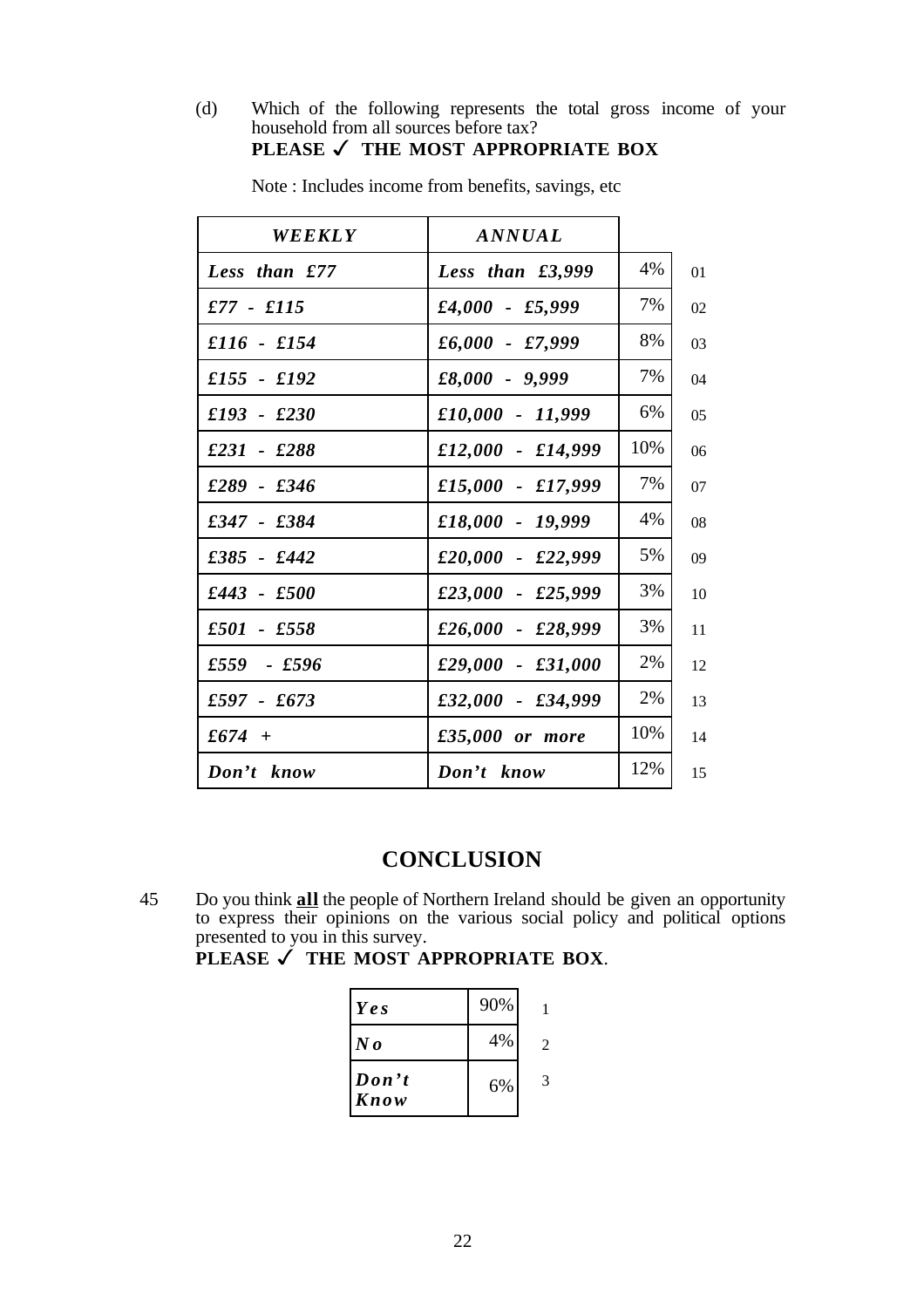(d) Which of the following represents the total gross income of your household from all sources before tax? **PLEASE** ✓ **THE MOST APPROPRIATE BOX**

| WEEKLY          | <b>ANNUAL</b>       |     |  |
|-----------------|---------------------|-----|--|
| Less than $£77$ | Less than $£3,999$  | 4%  |  |
| $£77 - £115$    | $£4,000 - £5,999$   | 7%  |  |
| $£116 - £154$   | $£6,000 - £7,999$   | 8%  |  |
| $£155 - £192$   | $£8,000 - 9,999$    | 7%  |  |
| $£193 - £230$   | £10,000 - 11,999    | 6%  |  |
| $£231 - £288$   | $£12,000 - £14,999$ | 10% |  |
| $£289 - £346$   | £15,000 - £17,999   | 7%  |  |
| $£347 - £384$   | £18,000 - 19,999    | 4%  |  |
| £385 - £442     | £20,000 - £22,999   | 5%  |  |
| £443 - £500     | £23,000 - £25,999   | 3%  |  |
| £501 - £558     | £26,000 - £28,999   | 3%  |  |
| $£559 - £596$   | £29,000 - £31,000   | 2%  |  |
| $£597 - £673$   | £32,000 - £34,999   | 2%  |  |
| £674 +          | £35,000 or more     | 10% |  |
| Don't know      | Don't know          | 12% |  |

Note : Includes income from benefits, savings, etc

# **CONCLUSION**

45 Do you think **all** the people of Northern Ireland should be given an opportunity to express their opinions on the various social policy and political options presented to you in this survey.

**PLEASE** ✓ **THE MOST APPROPRIATE BOX**.

| Ye s                     | 90% |   |
|--------------------------|-----|---|
| $N$ o                    | 4%  | 2 |
| $\mathbf{Don'}t$<br>Know | 6%  | 3 |